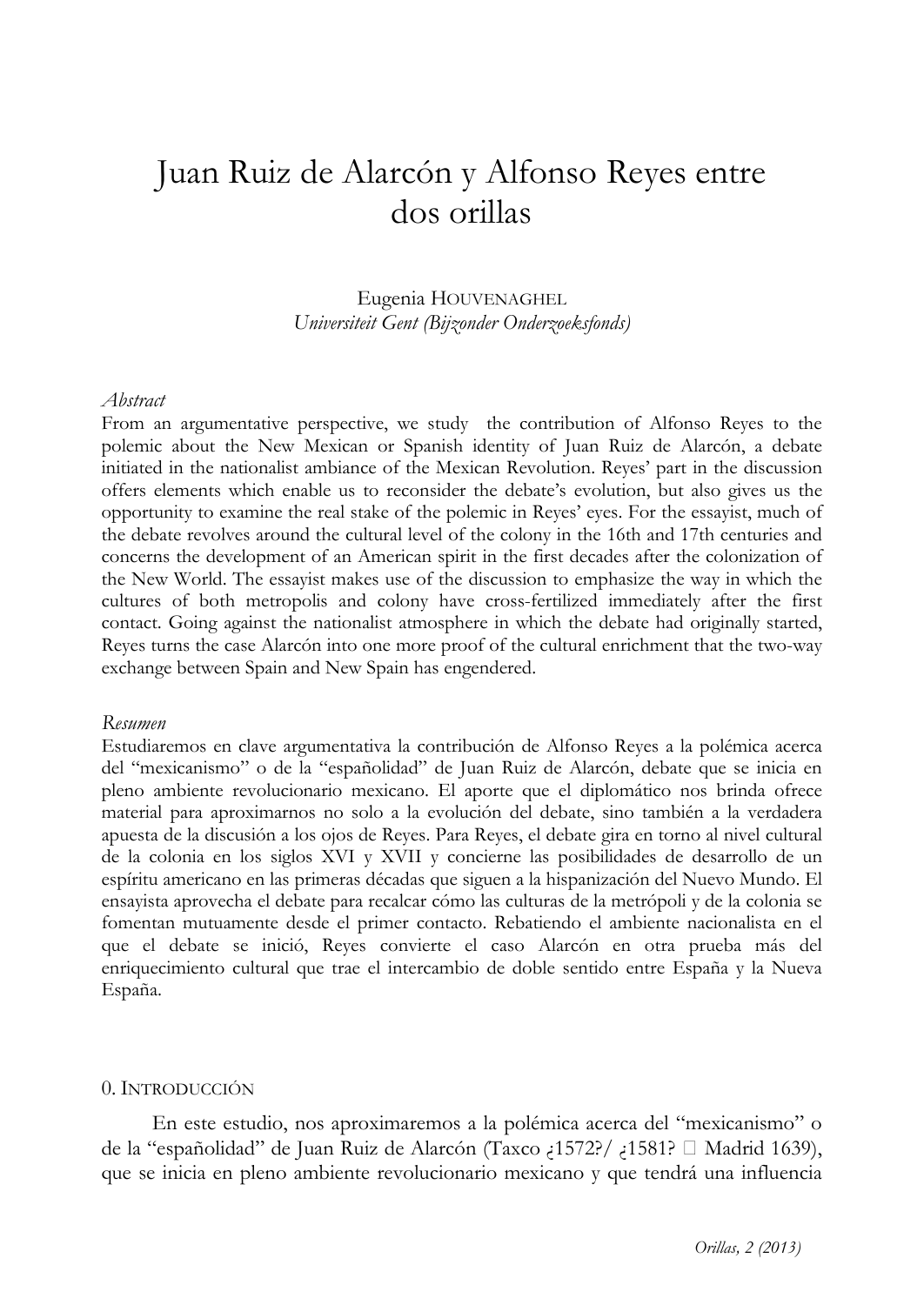# Juan Ruiz de Alarcón y Alfonso Reyes entre dos orillas

Eugenia HOUVENAGHEL Universiteit Gent (Bijzonder Onderzoeksfonds)

## Abstract

From an argumentative perspective, we study the contribution of Alfonso Reyes to the polemic about the New Mexican or Spanish identity of Juan Ruiz de Alarcón, a debate initiated in the nationalist ambiance of the Mexican Revolution. Reyes' part in the discussion offers elements which enable us to reconsider the debate's evolution, but also gives us the opportunity to examine the real stake of the polemic in Reyes' eyes. For the essayist, much of the debate revolves around the cultural level of the colony in the 16th and 17th centuries and concerns the development of an American spirit in the first decades after the colonization of the New World. The essayist makes use of the discussion to emphasize the way in which the cultures of both metropolis and colony have cross-fertilized immediately after the first contact. Going against the nationalist atmosphere in which the debate had originally started, Reyes turns the case Alarcón into one more proof of the cultural enrichment that the two-way exchange between Spain and New Spain has engendered.

## Resumen

Estudiaremos en clave argumentativa la contribución de Alfonso Reyes a la polémica acerca del "mexicanismo" o de la "españolidad" de Juan Ruiz de Alarcón, debate que se inicia en pleno ambiente revolucionario mexicano. El aporte que el diplomático nos brinda ofrece material para aproximarnos no solo a la evolución del debate, sino también a la verdadera apuesta de la discusión a los ojos de Reyes. Para Reyes, el debate gira en torno al nivel cultural de la colonia en los siglos XVI y XVII y concierne las posibilidades de desarrollo de un espíritu americano en las primeras décadas que siguen a la hispanización del Nuevo Mundo. El ensayista aprovecha el debate para recalcar cómo las culturas de la metrópoli y de la colonia se fomentan mutuamente desde el primer contacto. Rebatiendo el ambiente nacionalista en el que el debate se inició, Reyes convierte el caso Alarcón en otra prueba más del enriquecimiento cultural que trae el intercambio de doble sentido entre España y la Nueva España.

## 0. INTRODUCCIÓN

En este estudio, nos aproximaremos a la polémica acerca del "mexicanismo" o de la "españolidad" de Juan Ruiz de Alarcón (Taxco 1572?/ 1581? Madrid 1639), que se inicia en pleno ambiente revolucionario mexicano y que tendrá una influencia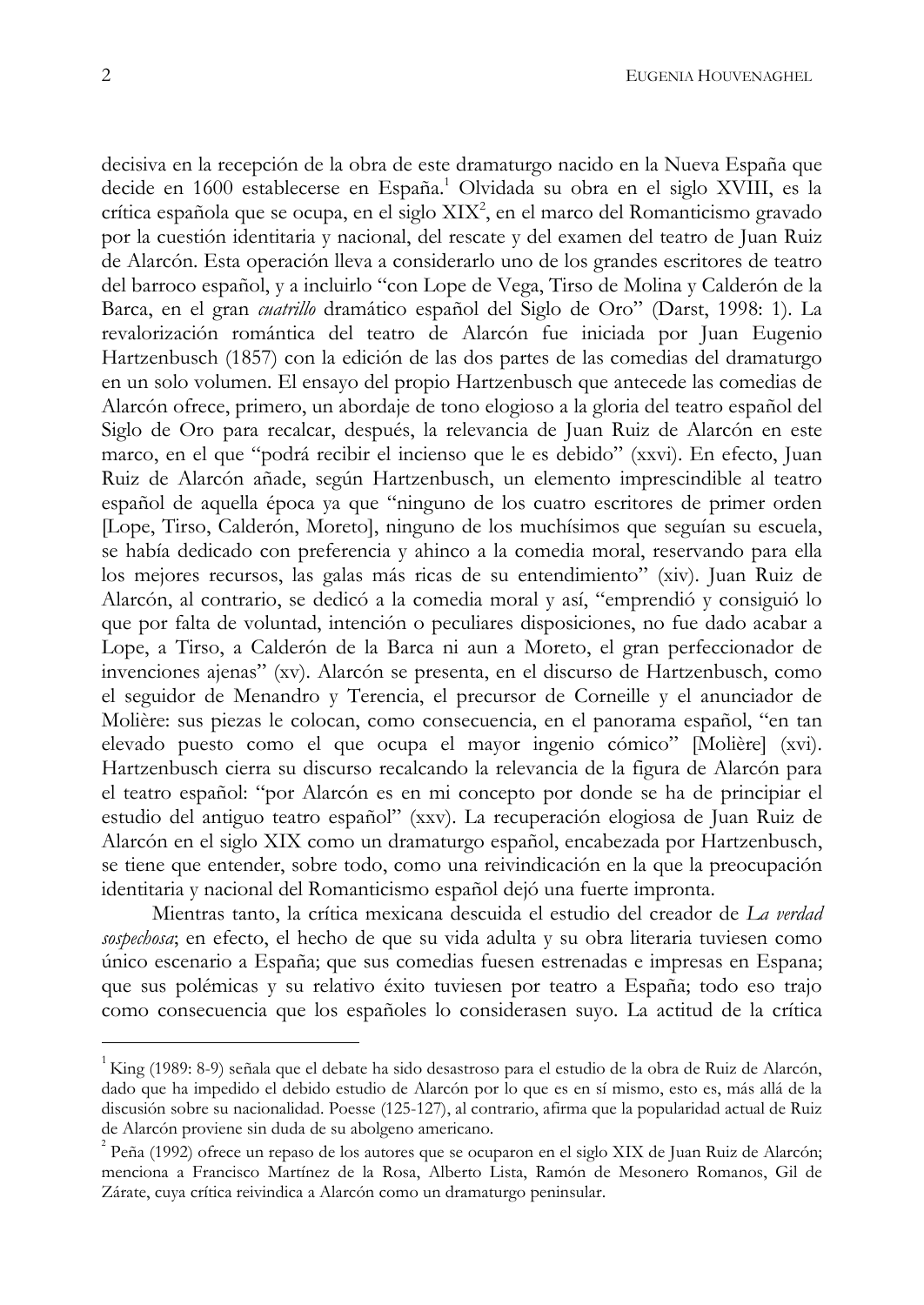decisiva en la recepción de la obra de este dramaturgo nacido en la Nueva España que decide en 1600 establecerse en España.<sup>1</sup> Olvidada su obra en el siglo XVIII, es la crítica española que se ocupa, en el siglo XIX<sup>2</sup>, en el marco del Romanticismo gravado por la cuestión identitaria y nacional, del rescate y del examen del teatro de Juan Ruiz de Alarcón. Esta operación lleva a considerarlo uno de los grandes escritores de teatro del barroco español, y a incluirlo "con Lope de Vega, Tirso de Molina y Calderón de la Barca, en el gran cuatrillo dramático español del Siglo de Oro" (Darst, 1998: 1). La revalorización romántica del teatro de Alarcón fue iniciada por Juan Eugenio Hartzenbusch (1857) con la edición de las dos partes de las comedias del dramaturgo en un solo volumen. El ensayo del propio Hartzenbusch que antecede las comedias de Alarcón ofrece, primero, un abordaje de tono elogioso a la gloria del teatro español del Siglo de Oro para recalcar, después, la relevancia de Juan Ruiz de Alarcón en este marco, en el que "podrá recibir el incienso que le es debido" (xxvi). En efecto, Juan Ruiz de Alarcón añade, según Hartzenbusch, un elemento imprescindible al teatro español de aquella época ya que "ninguno de los cuatro escritores de primer orden [Lope, Tirso, Calderón, Moreto], ninguno de los muchísimos que seguían su escuela, se había dedicado con preferencia y ahinco a la comedia moral, reservando para ella los mejores recursos, las galas más ricas de su entendimiento" (xiv). Juan Ruiz de Alarcón, al contrario, se dedicó a la comedia moral y así, "emprendió y consiguió lo que por falta de voluntad, intención o peculiares disposiciones, no fue dado acabar a Lope, a Tirso, a Calderón de la Barca ni aun a Moreto, el gran perfeccionador de invenciones ajenas" (xv). Alarcón se presenta, en el discurso de Hartzenbusch, como el seguidor de Menandro y Terencia, el precursor de Corneille y el anunciador de Molière: sus piezas le colocan, como consecuencia, en el panorama español, "en tan elevado puesto como el que ocupa el mayor ingenio cómico" [Molière] (xvi). Hartzenbusch cierra su discurso recalcando la relevancia de la figura de Alarcón para el teatro español: "por Alarcón es en mi concepto por donde se ha de principiar el estudio del antiguo teatro español" (xxv). La recuperación elogiosa de Juan Ruiz de Alarcón en el siglo XIX como un dramaturgo español, encabezada por Hartzenbusch, se tiene que entender, sobre todo, como una reivindicación en la que la preocupación identitaria y nacional del Romanticismo español dejó una fuerte impronta.

Mientras tanto, la crítica mexicana descuida el estudio del creador de La verdad sospechosa; en efecto, el hecho de que su vida adulta y su obra literaria tuviesen como único escenario a España; que sus comedias fuesen estrenadas e impresas en Espana; que sus polémicas y su relativo éxito tuviesen por teatro a España; todo eso trajo como consecuencia que los españoles lo considerasen suyo. La actitud de la crítica

King (1989: 8-9) señala que el debate ha sido desastroso para el estudio de la obra de Ruiz de Alarcón, dado que ha impedido el debido estudio de Alarcón por lo que es en sí mismo, esto es, más allá de la discusión sobre su nacionalidad. Poesse (125-127), al contrario, afirma que la popularidad actual de Ruiz de Alarcón proviene sin duda de su abolgeno americano.

 $^{2}$  Peña (1992) ofrece un repaso de los autores que se ocuparon en el siglo XIX de Juan Ruiz de Alarcón; menciona a Francisco Martínez de la Rosa, Alberto Lista, Ramón de Mesonero Romanos, Gil de Zárate, cuya crítica reivindica a Alarcón como un dramaturgo peninsular.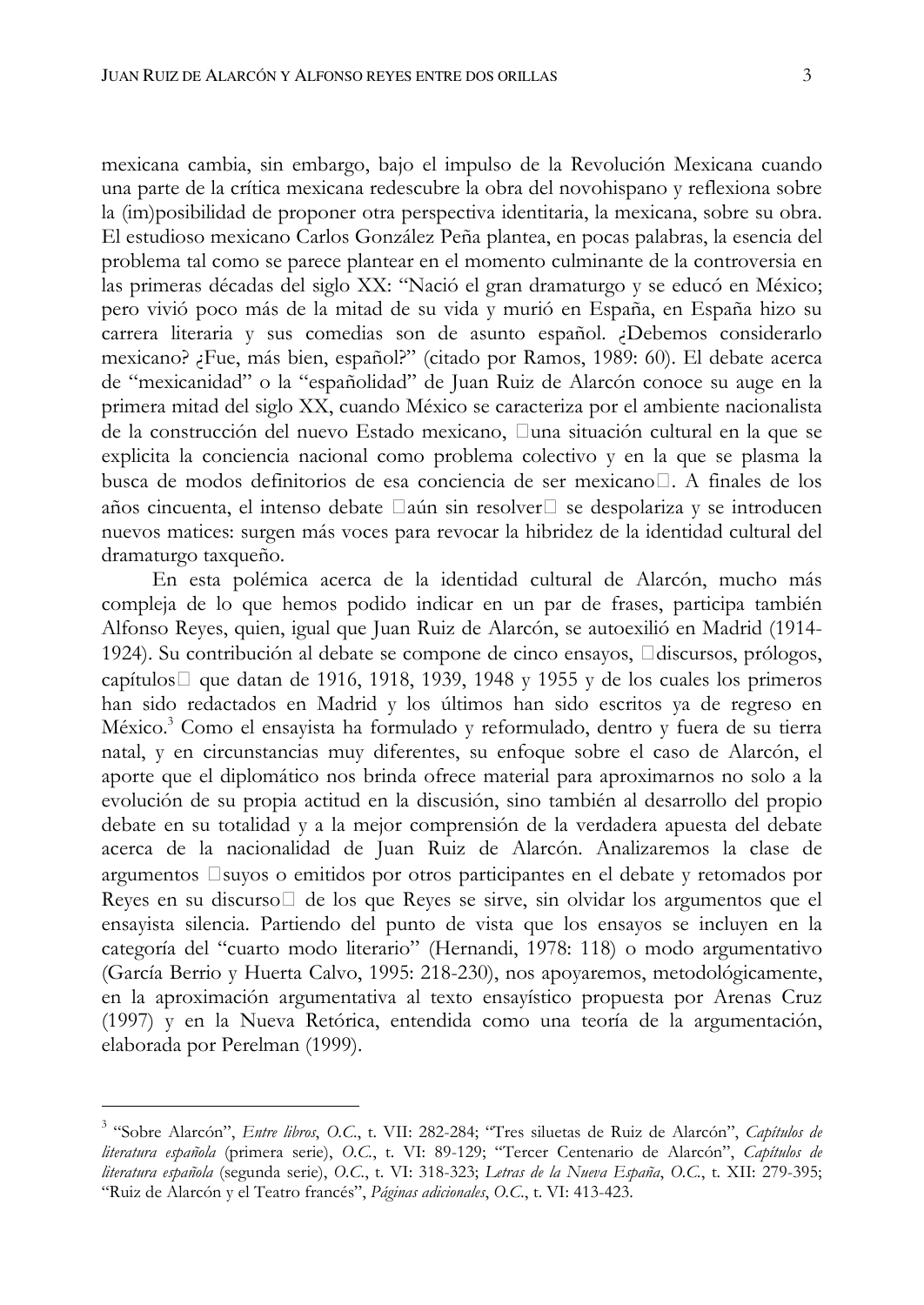mexicana cambia, sin embargo, bajo el impulso de la Revolución Mexicana cuando una parte de la crítica mexicana redescubre la obra del novohispano y reflexiona sobre la (im)posibilidad de proponer otra perspectiva identitaria, la mexicana, sobre su obra. El estudioso mexicano Carlos González Peña plantea, en pocas palabras, la esencia del problema tal como se parece plantear en el momento culminante de la controversia en las primeras décadas del siglo XX: "Nació el gran dramaturgo y se educó en México; pero vivió poco más de la mitad de su vida y murió en España, en España hizo su carrera literaria y sus comedias son de asunto español. ¿Debemos considerarlo mexicano? ¡Fue, más bien, español?" (citado por Ramos, 1989: 60). El debate acerca de "mexicanidad" o la "españolidad" de Juan Ruiz de Alarcón conoce su auge en la primera mitad del siglo XX, cuando México se caracteriza por el ambiente nacionalista de la construcción del nuevo Estado mexicano, una situación cultural en la que se explicita la conciencia nacional como problema colectivo y en la que se plasma la busca de modos definitorios de esa conciencia de ser mexicano. A finales de los años cincuenta, el intenso debate aún sin resolver se despolariza y se introducen nuevos matices: surgen más voces para revocar la hibridez de la identidad cultural del dramaturgo taxqueño.

En esta polémica acerca de la identidad cultural de Alarcón, mucho más compleja de lo que hemos podido indicar en un par de frases, participa también Alfonso Reyes, quien, igual que Juan Ruiz de Alarcón, se autoexilió en Madrid (1914-1924). Su contribución al debate se compone de cinco ensayos, discursos, prólogos, capítulos que datan de 1916, 1918, 1939, 1948 y 1955 y de los cuales los primeros han sido redactados en Madrid y los últimos han sido escritos ya de regreso en México.<sup>3</sup> Como el ensayista ha formulado y reformulado, dentro y fuera de su tierra natal, y en circunstancias muy diferentes, su enfoque sobre el caso de Alarcón, el aporte que el diplomático nos brinda ofrece material para aproximarnos no solo a la evolución de su propia actitud en la discusión, sino también al desarrollo del propio debate en su totalidad y a la mejor comprensión de la verdadera apuesta del debate acerca de la nacionalidad de Juan Ruiz de Alarcón. Analizaremos la clase de argumentos suyos o emitidos por otros participantes en el debate y retomados por Reyes en su discurso de los que Reyes se sirve, sin olvidar los argumentos que el ensayista silencia. Partiendo del punto de vista que los ensayos se incluyen en la categoría del "cuarto modo literario" (Hernandi, 1978: 118) o modo argumentativo (García Berrio y Huerta Calvo, 1995: 218-230), nos apoyaremos, metodológicamente, en la aproximación argumentativa al texto ensayístico propuesta por Arenas Cruz (1997) y en la Nueva Retórica, entendida como una teoría de la argumentación, elaborada por Perelman (1999).

<sup>&</sup>lt;sup>3</sup> "Sobre Alarcón", Entre libros, O.C., t. VII: 282-284; "Tres siluetas de Ruiz de Alarcón", Capítulos de literatura española (primera serie), O.C., t. VI: 89-129; "Tercer Centenario de Alarcón", Capítulos de literatura española (segunda serie), O.C., t. VI: 318-323; Letras de la Nueva España, O.C., t. XII: 279-395; "Ruiz de Alarcón y el Teatro francés", Páginas adicionales, O.C., t. VI: 413-423.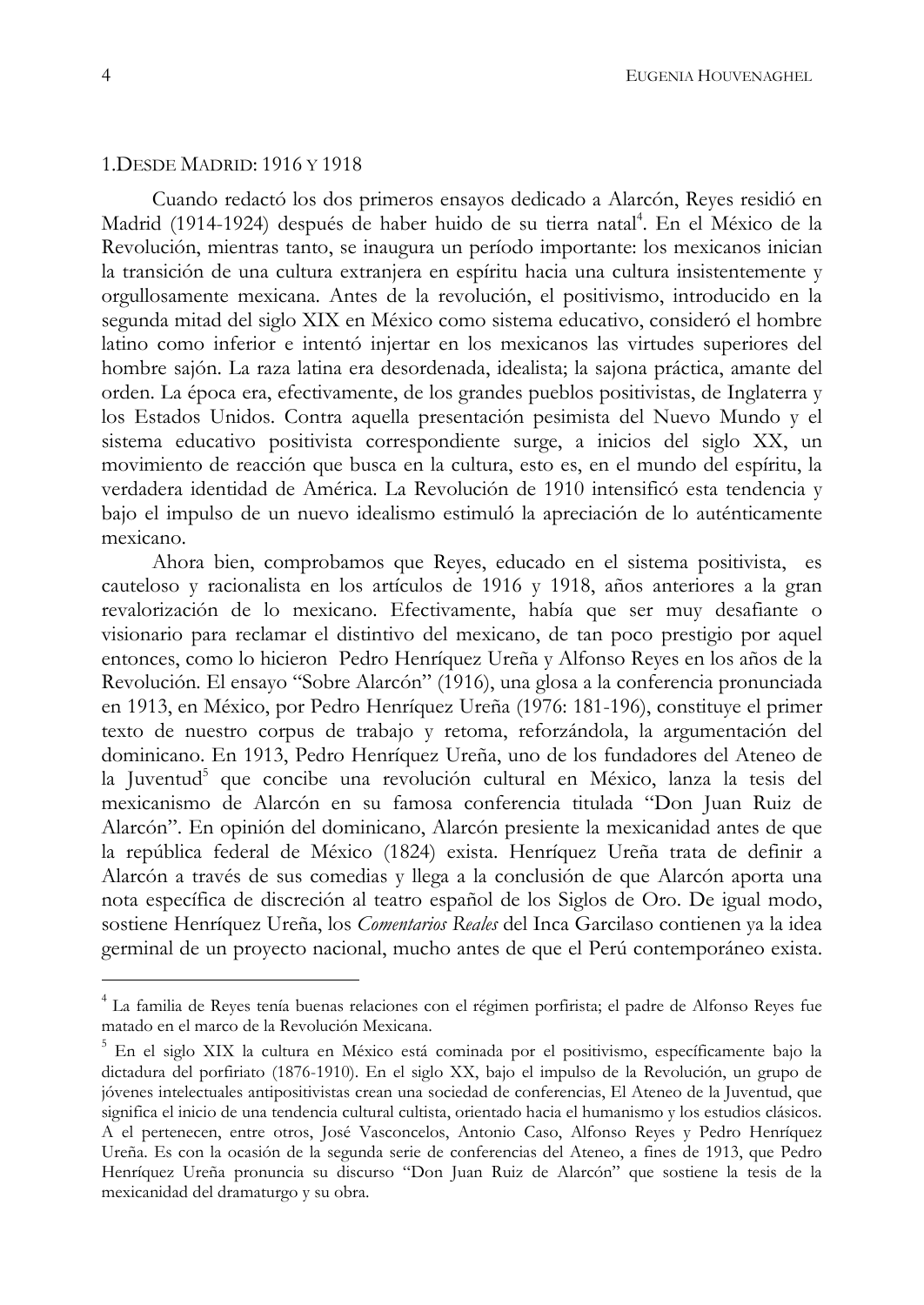## 1. DESDE MADRID: 1916 Y 1918

Cuando redactó los dos primeros ensayos dedicado a Alarcón, Reyes residió en Madrid (1914-1924) después de haber huido de su tierra natal<sup>4</sup>. En el México de la Revolución, mientras tanto, se inaugura un período importante: los mexicanos inician la transición de una cultura extranjera en espíritu hacia una cultura insistentemente y orgullosamente mexicana. Antes de la revolución, el positivismo, introducido en la segunda mitad del siglo XIX en México como sistema educativo, consideró el hombre latino como inferior e intentó injertar en los mexicanos las virtudes superiores del hombre sajón. La raza latina era desordenada, idealista; la sajona práctica, amante del orden. La época era, efectivamente, de los grandes pueblos positivistas, de Inglaterra y los Estados Unidos. Contra aquella presentación pesimista del Nuevo Mundo y el sistema educativo positivista correspondiente surge, a inicios del siglo XX, un movimiento de reacción que busca en la cultura, esto es, en el mundo del espíritu, la verdadera identidad de América. La Revolución de 1910 intensificó esta tendencia y bajo el impulso de un nuevo idealismo estimuló la apreciación de lo auténticamente mexicano.

Ahora bien, comprobamos que Reyes, educado en el sistema positivista, es cauteloso y racionalista en los artículos de 1916 y 1918, años anteriores a la gran revalorización de lo mexicano. Efectivamente, había que ser muy desafiante o visionario para reclamar el distintivo del mexicano, de tan poco prestigio por aquel entonces, como lo hicieron Pedro Henríquez Ureña y Alfonso Reyes en los años de la Revolución. El ensayo "Sobre Alarcón" (1916), una glosa a la conferencia pronunciada en 1913, en México, por Pedro Henríquez Ureña (1976: 181-196), constituye el primer texto de nuestro corpus de trabajo y retoma, reforzándola, la argumentación del dominicano. En 1913, Pedro Henríquez Ureña, uno de los fundadores del Ateneo de la Juventud<sup>5</sup> que concibe una revolución cultural en México, lanza la tesis del mexicanismo de Alarcón en su famosa conferencia titulada "Don Juan Ruiz de Alarcón". En opinión del dominicano, Alarcón presiente la mexicanidad antes de que la república federal de México (1824) exista. Henríquez Ureña trata de definir a Alarcón a través de sus comedias y llega a la conclusión de que Alarcón aporta una nota específica de discreción al teatro español de los Siglos de Oro. De igual modo, sostiene Henríquez Ureña, los Comentarios Reales del Inca Garcilaso contienen ya la idea germinal de un proyecto nacional, mucho antes de que el Perú contemporáneo exista.

<sup>&</sup>lt;sup>4</sup> La familia de Reyes tenía buenas relaciones con el régimen porfirista; el padre de Alfonso Reyes fue matado en el marco de la Revolución Mexicana.

<sup>&</sup>lt;sup>5</sup> En el siglo XIX la cultura en México está cominada por el positivismo, específicamente bajo la dictadura del porfiriato (1876-1910). En el siglo XX, bajo el impulso de la Revolución, un grupo de jóvenes intelectuales antipositivistas crean una sociedad de conferencias, El Ateneo de la Juventud, que significa el inicio de una tendencia cultural cultista, orientado hacia el humanismo y los estudios clásicos. A el pertenecen, entre otros, José Vasconcelos, Antonio Caso, Alfonso Reyes y Pedro Henríquez Ureña. Es con la ocasión de la segunda serie de conferencias del Ateneo, a fines de 1913, que Pedro Henríquez Ureña pronuncia su discurso "Don Juan Ruiz de Alarcón" que sostiene la tesis de la mexicanidad del dramaturgo y su obra.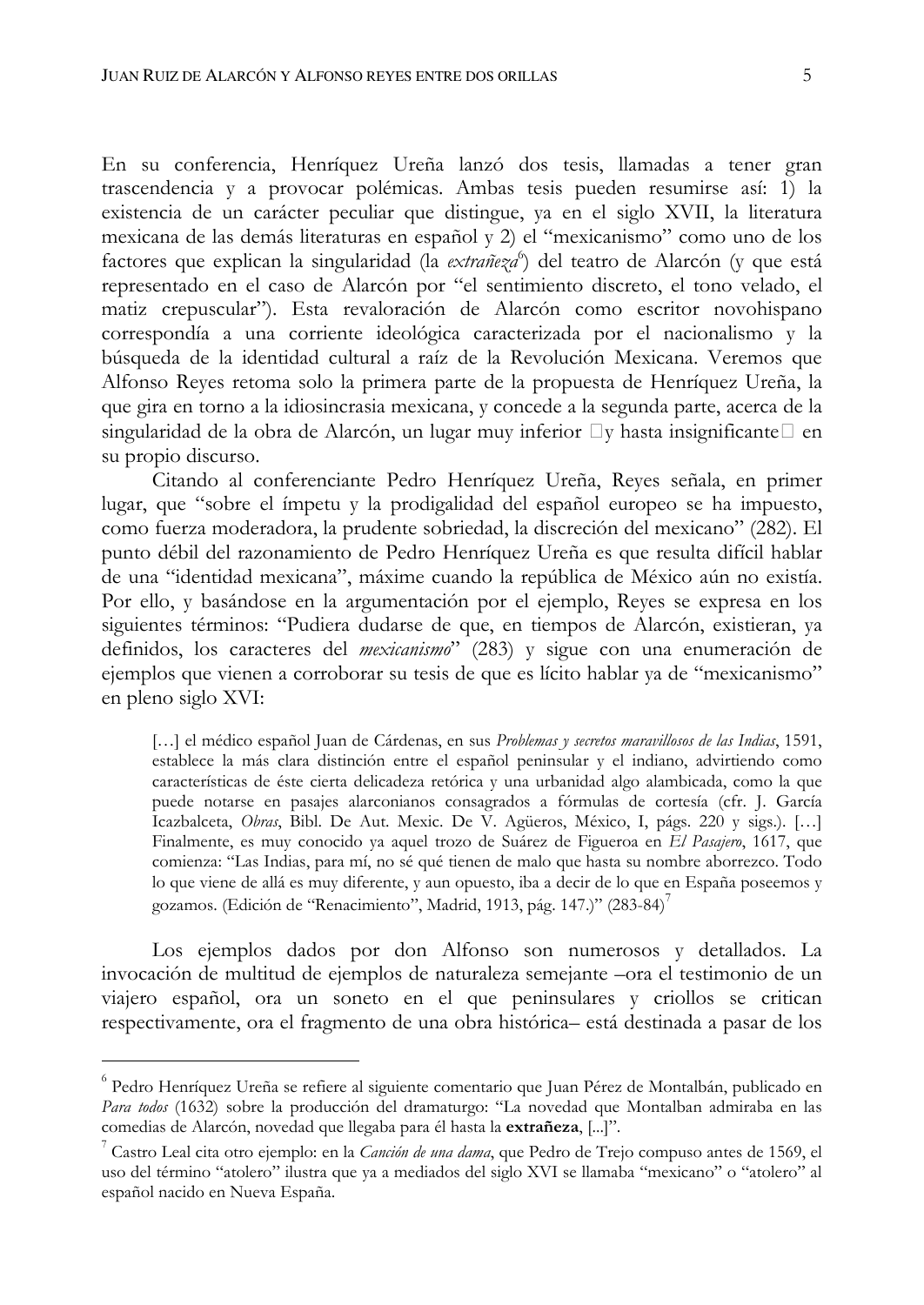En su conferencia, Henríquez Ureña lanzó dos tesis, llamadas a tener gran trascendencia y a provocar polémicas. Ambas tesis pueden resumirse así: 1) la existencia de un carácter peculiar que distingue, ya en el siglo XVII, la literatura mexicana de las demás literaturas en español y 2) el "mexicanismo" como uno de los factores que explican la singularidad (la extrañeza<sup>6</sup>) del teatro de Alarcón (y que está representado en el caso de Alarcón por "el sentimiento discreto, el tono velado, el matiz crepuscular"). Esta revaloración de Alarcón como escritor novohispano correspondía a una corriente ideológica caracterizada por el nacionalismo y la búsqueda de la identidad cultural a raíz de la Revolución Mexicana. Veremos que Alfonso Reyes retoma solo la primera parte de la propuesta de Henríquez Ureña, la que gira en torno a la idiosincrasia mexicana, y concede a la segunda parte, acerca de la singularidad de la obra de Alarcón, un lugar muy inferior y hasta insignificante en su propio discurso.

Citando al conferenciante Pedro Henríquez Ureña, Reyes señala, en primer lugar, que "sobre el ímpetu y la prodigalidad del español europeo se ha impuesto, como fuerza moderadora, la prudente sobriedad, la discreción del mexicano" (282). El punto débil del razonamiento de Pedro Henríquez Ureña es que resulta difícil hablar de una "identidad mexicana", máxime cuando la república de México aún no existía. Por ello, y basándose en la argumentación por el ejemplo, Reyes se expresa en los siguientes términos: "Pudiera dudarse de que, en tiempos de Alarcón, existieran, ya definidos, los caracteres del mexicanismo" (283) y sigue con una enumeración de ejemplos que vienen a corroborar su tesis de que es lícito hablar ya de "mexicanismo" en pleno siglo XVI:

[...] el médico español Juan de Cárdenas, en sus Problemas y secretos maravillosos de las Indias, 1591, establece la más clara distinción entre el español peninsular y el indiano, advirtiendo como características de éste cierta delicadeza retórica y una urbanidad algo alambicada, como la que puede notarse en pasajes alarconianos consagrados a fórmulas de cortesía (cfr. J. García Icazbalceta, Obras, Bibl. De Aut. Mexic. De V. Agüeros, México, I, págs. 220 y sigs.). [...] Finalmente, es muy conocido ya aquel trozo de Suárez de Figueroa en El Pasajero, 1617, que comienza: "Las Indias, para mí, no sé qué tienen de malo que hasta su nombre aborrezco. Todo lo que viene de allá es muy diferente, y aun opuesto, iba a decir de lo que en España poseemos y gozamos. (Edición de "Renacimiento", Madrid, 1913, pág. 147.)" (283-84)<sup>7</sup>

Los ejemplos dados por don Alfonso son numerosos y detallados. La invocación de multitud de ejemplos de naturaleza semejante -ora el testimonio de un viajero español, ora un soneto en el que peninsulares y criollos se critican respectivamente, ora el fragmento de una obra histórica- está destinada a pasar de los

<sup>&</sup>lt;sup>6</sup> Pedro Henríquez Ureña se refiere al siguiente comentario que Juan Pérez de Montalbán, publicado en Para todos (1632) sobre la producción del dramaturgo: "La novedad que Montalban admiraba en las comedias de Alarcón, novedad que llegaba para él hasta la extrañeza, [...]".

Castro Leal cita otro ejemplo: en la *Canción de una dama*, que Pedro de Trejo compuso antes de 1569, el uso del término "atolero" ilustra que ya a mediados del siglo XVI se llamaba "mexicano" o "atolero" al español nacido en Nueva España.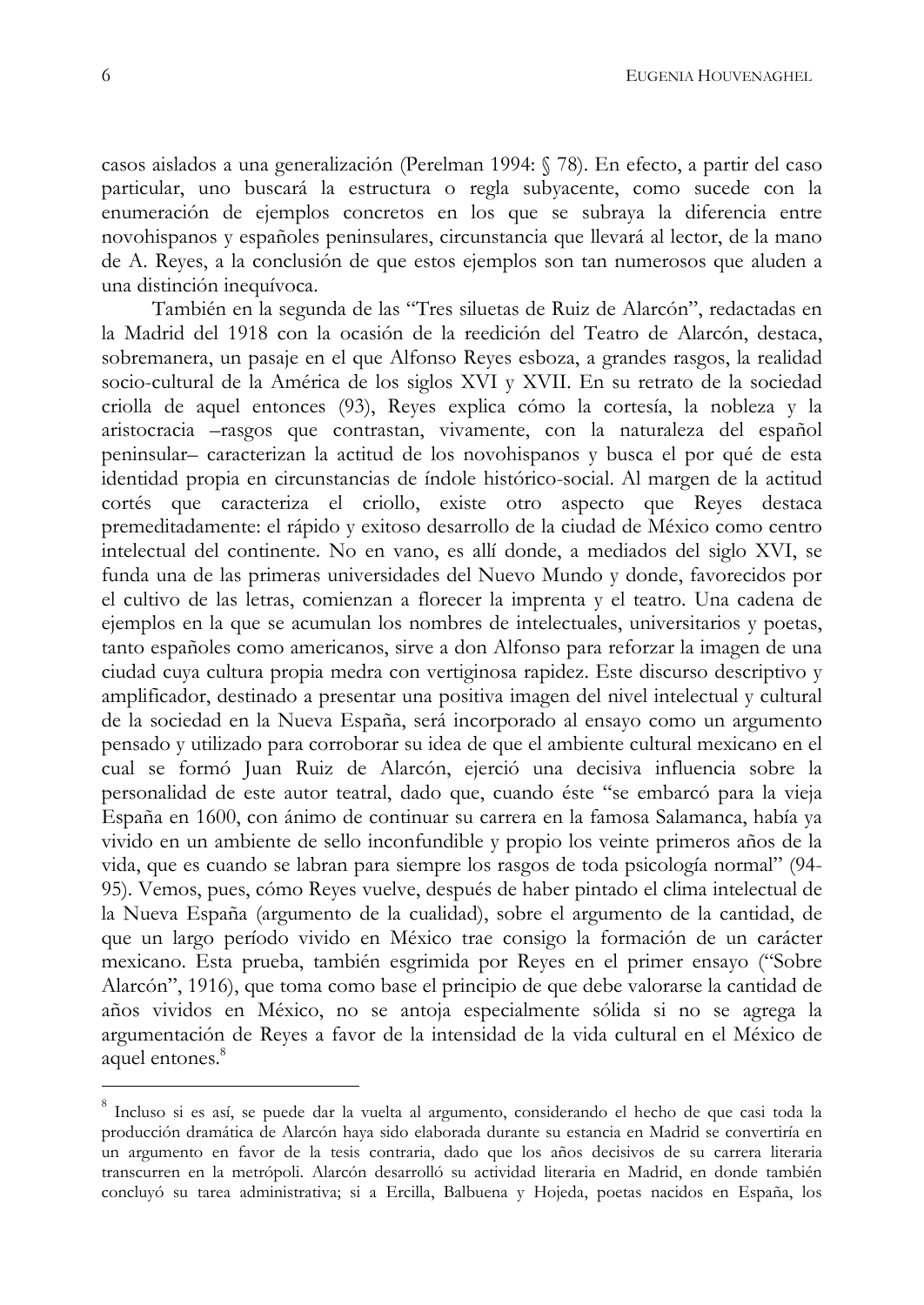casos aislados a una generalización (Perelman 1994: § 78). En efecto, a partir del caso particular, uno buscará la estructura o regla subyacente, como sucede con la enumeración de ejemplos concretos en los que se subraya la diferencia entre novohispanos y españoles peninsulares, circunstancia que llevará al lector, de la mano de A. Reyes, a la conclusión de que estos ejemplos son tan numerosos que aluden a una distinción inequívoca.

También en la segunda de las "Tres siluetas de Ruiz de Alarcón", redactadas en la Madrid del 1918 con la ocasión de la reedición del Teatro de Alarcón, destaca, sobremanera, un pasaje en el que Alfonso Reyes esboza, a grandes rasgos, la realidad socio-cultural de la América de los siglos XVI y XVII. En su retrato de la sociedad criolla de aquel entonces (93), Reyes explica cómo la cortesía, la nobleza y la aristocracia -rasgos que contrastan, vivamente, con la naturaleza del español peninsular-caracterizan la actitud de los novohispanos y busca el por qué de esta identidad propia en circunstancias de índole histórico-social. Al margen de la actitud cortés que caracteriza el criollo, existe otro aspecto que Reyes destaca premeditadamente: el rápido y exitoso desarrollo de la ciudad de México como centro intelectual del continente. No en vano, es allí donde, a mediados del siglo XVI, se funda una de las primeras universidades del Nuevo Mundo y donde, favorecidos por el cultivo de las letras, comienzan a florecer la imprenta y el teatro. Una cadena de ejemplos en la que se acumulan los nombres de intelectuales, universitarios y poetas, tanto españoles como americanos, sirve a don Alfonso para reforzar la imagen de una ciudad cuya cultura propia medra con vertiginosa rapidez. Este discurso descriptivo y amplificador, destinado a presentar una positiva imagen del nivel intelectual y cultural de la sociedad en la Nueva España, será incorporado al ensayo como un argumento pensado y utilizado para corroborar su idea de que el ambiente cultural mexicano en el cual se formó Juan Ruiz de Alarcón, ejerció una decisiva influencia sobre la personalidad de este autor teatral, dado que, cuando éste "se embarcó para la vieja España en 1600, con ánimo de continuar su carrera en la famosa Salamanca, había ya vivido en un ambiente de sello inconfundible y propio los veinte primeros años de la vida, que es cuando se labran para siempre los rasgos de toda psicología normal" (94-95). Vemos, pues, cómo Reyes vuelve, después de haber pintado el clima intelectual de la Nueva España (argumento de la cualidad), sobre el argumento de la cantidad, de que un largo período vivido en México trae consigo la formación de un carácter mexicano. Esta prueba, también esgrimida por Reyes en el primer ensayo ("Sobre Alarcón", 1916), que toma como base el principio de que debe valorarse la cantidad de años vividos en México, no se antoja especialmente sólida si no se agrega la argumentación de Reyes a favor de la intensidad de la vida cultural en el México de aquel entones.<sup>8</sup>

<sup>&</sup>lt;sup>8</sup> Incluso si es así, se puede dar la vuelta al argumento, considerando el hecho de que casi toda la producción dramática de Alarcón haya sido elaborada durante su estancia en Madrid se convertiría en un argumento en favor de la tesis contraria, dado que los años decisivos de su carrera literaria transcurren en la metrópoli. Alarcón desarrolló su actividad literaria en Madrid, en donde también concluyó su tarea administrativa; si a Ercilla, Balbuena y Hojeda, poetas nacidos en España, los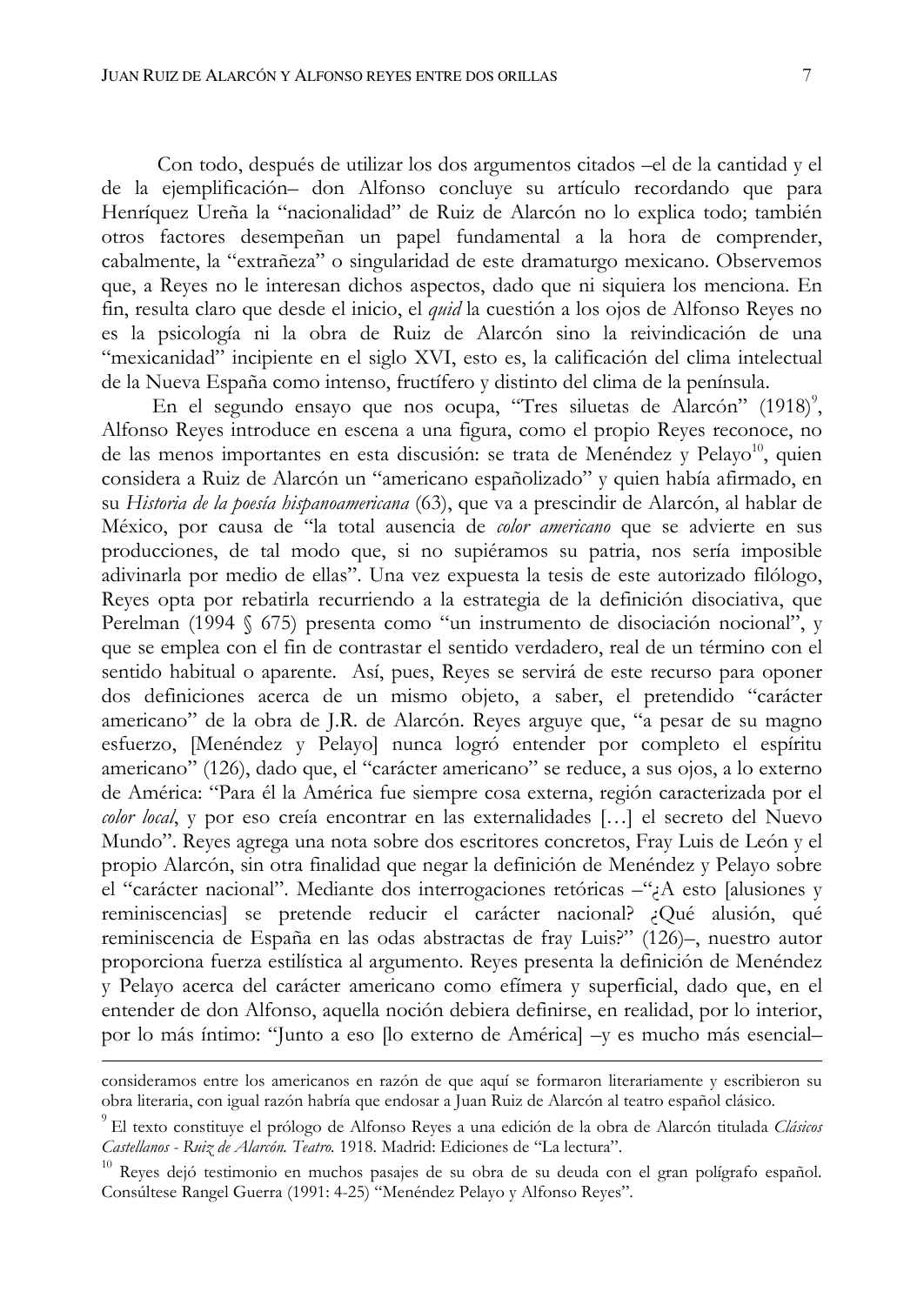Con todo, después de utilizar los dos argumentos citados -el de la cantidad y el de la ejemplificación- don Alfonso concluye su artículo recordando que para Henríquez Ureña la "nacionalidad" de Ruiz de Alarcón no lo explica todo; también otros factores desempeñan un papel fundamental a la hora de comprender, cabalmente, la "extrañeza" o singularidad de este dramaturgo mexicano. Observemos que, a Reyes no le interesan dichos aspectos, dado que ni siquiera los menciona. En fin, resulta claro que desde el inicio, el quid la cuestión a los ojos de Alfonso Reyes no es la psicología ni la obra de Ruiz de Alarcón sino la reivindicación de una "mexicanidad" incipiente en el siglo XVI, esto es, la calificación del clima intelectual de la Nueva España como intenso, fructífero y distinto del clima de la península.

En el segundo ensayo que nos ocupa, "Tres siluetas de Alarcón" (1918)<sup>9</sup>, Alfonso Reyes introduce en escena a una figura, como el propio Reyes reconoce, no de las menos importantes en esta discusión: se trata de Menéndez y Pelayo<sup>10</sup>, quien considera a Ruiz de Alarcón un "americano españolizado" y quien había afirmado, en su Historia de la poesía hispanoamericana (63), que va a prescindir de Alarcón, al hablar de México, por causa de "la total ausencia de color americano que se advierte en sus producciones, de tal modo que, si no supiéramos su patria, nos sería imposible adivinarla por medio de ellas". Una vez expuesta la tesis de este autorizado filólogo, Reyes opta por rebatirla recurriendo a la estrategia de la definición disociativa, que Perelman (1994 § 675) presenta como "un instrumento de disociación nocional", y que se emplea con el fin de contrastar el sentido verdadero, real de un término con el sentido habitual o aparente. Así, pues, Reyes se servirá de este recurso para oponer dos definiciones acerca de un mismo objeto, a saber, el pretendido "carácter americano" de la obra de J.R. de Alarcón. Reyes arguye que, "a pesar de su magno esfuerzo, [Menéndez y Pelayo] nunca logró entender por completo el espíritu americano" (126), dado que, el "carácter americano" se reduce, a sus ojos, a lo externo de América: "Para él la América fue siempre cosa externa, región caracterizada por el color local, y por eso creía encontrar en las externalidades [...] el secreto del Nuevo Mundo". Reyes agrega una nota sobre dos escritores concretos, Fray Luis de León y el propio Alarcón, sin otra finalidad que negar la definición de Menéndez y Pelayo sobre el "carácter nacional". Mediante dos interrogaciones retóricas  $-\gamma$ A esto [alusiones y reminiscencias] se pretende reducir el carácter nacional? ¿Qué alusión, qué reminiscencia de España en las odas abstractas de fray Luis?" (126)-, nuestro autor proporciona fuerza estilística al argumento. Reyes presenta la definición de Menéndez y Pelayo acerca del carácter americano como efímera y superficial, dado que, en el entender de don Alfonso, aquella noción debiera definirse, en realidad, por lo interior, por lo más íntimo: "Junto a eso [lo externo de América] -y es mucho más esencial-

consideramos entre los americanos en razón de que aquí se formaron literariamente y escribieron su obra literaria, con igual razón habría que endosar a Juan Ruiz de Alarcón al teatro español clásico.

<sup>&</sup>lt;sup>9</sup> El texto constituye el prólogo de Alfonso Reyes a una edición de la obra de Alarcón titulada Clásicos Castellanos - Ruiz de Alarcón. Teatro. 1918. Madrid: Ediciones de "La lectura".

<sup>&</sup>lt;sup>10</sup> Reves dejó testimonio en muchos pasajes de su obra de su deuda con el gran polígrafo español. Consúltese Rangel Guerra (1991: 4-25) "Menéndez Pelayo y Alfonso Reyes".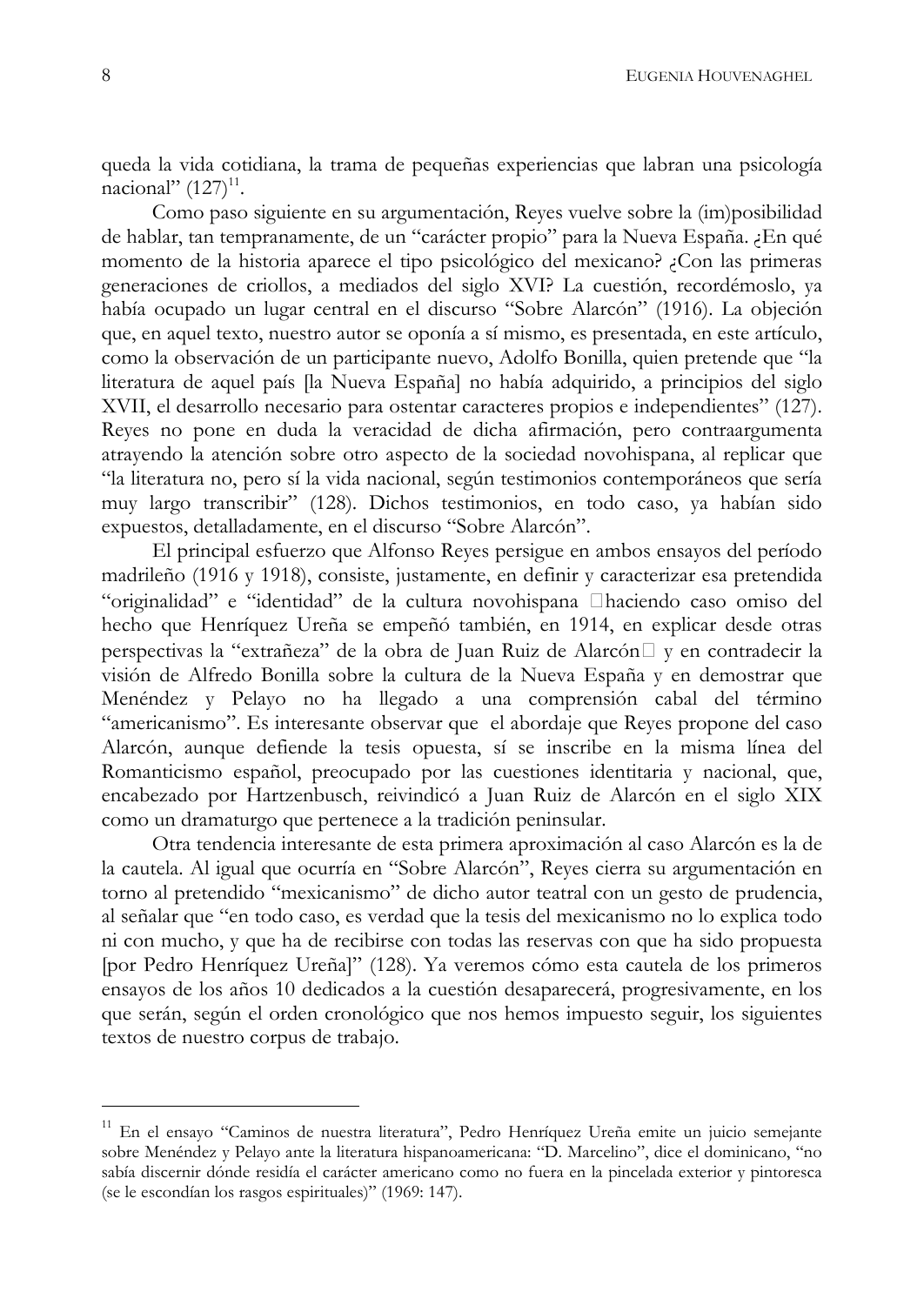queda la vida cotidiana, la trama de pequeñas experiencias que labran una psicología nacional"  $(127)^{11}$ .

Como paso siguiente en su argumentación, Reyes vuelve sobre la (im)posibilidad de hablar, tan tempranamente, de un "carácter propio" para la Nueva España. ¿En qué momento de la historia aparece el tipo psicológico del mexicano? ¿Con las primeras generaciones de criollos, a mediados del siglo XVI? La cuestión, recordémoslo, ya había ocupado un lugar central en el discurso "Sobre Alarcón" (1916). La objeción que, en aquel texto, nuestro autor se oponía a sí mismo, es presentada, en este artículo, como la observación de un participante nuevo, Adolfo Bonilla, quien pretende que "la literatura de aquel país [la Nueva España] no había adquirido, a principios del siglo XVII, el desarrollo necesario para ostentar caracteres propios e independientes" (127). Reyes no pone en duda la veracidad de dicha afirmación, pero contraargumenta atrayendo la atención sobre otro aspecto de la sociedad novohispana, al replicar que "la literatura no, pero sí la vida nacional, según testimonios contemporáneos que sería muy largo transcribir" (128). Dichos testimonios, en todo caso, ya habían sido expuestos, detalladamente, en el discurso "Sobre Alarcón".

El principal esfuerzo que Alfonso Reyes persigue en ambos ensayos del período madrileño (1916 y 1918), consiste, justamente, en definir y caracterizar esa pretendida "originalidad" e "identidad" de la cultura novohispana haciendo caso omiso del hecho que Henríquez Ureña se empeñó también, en 1914, en explicar desde otras perspectivas la "extrañeza" de la obra de Juan Ruiz de Alarcón y en contradecir la visión de Alfredo Bonilla sobre la cultura de la Nueva España y en demostrar que Menéndez y Pelayo no ha llegado a una comprensión cabal del término "americanismo". Es interesante observar que el abordaje que Reyes propone del caso Alarcón, aunque defiende la tesis opuesta, sí se inscribe en la misma línea del Romanticismo español, preocupado por las cuestiones identitaria y nacional, que, encabezado por Hartzenbusch, reivindicó a Juan Ruiz de Alarcón en el siglo XIX como un dramaturgo que pertenece a la tradición peninsular.

Otra tendencia interesante de esta primera aproximación al caso Alarcón es la de la cautela. Al igual que ocurría en "Sobre Alarcón", Reyes cierra su argumentación en torno al pretendido "mexicanismo" de dicho autor teatral con un gesto de prudencia, al señalar que "en todo caso, es verdad que la tesis del mexicanismo no lo explica todo ni con mucho, y que ha de recibirse con todas las reservas con que ha sido propuesta [por Pedro Henríquez Ureña]" (128). Ya veremos cómo esta cautela de los primeros ensayos de los años 10 dedicados a la cuestión desaparecerá, progresivamente, en los que serán, según el orden cronológico que nos hemos impuesto seguir, los siguientes textos de nuestro corpus de trabajo.

<sup>&</sup>lt;sup>11</sup> En el ensayo "Caminos de nuestra literatura", Pedro Henríquez Ureña emite un juicio semejante sobre Menéndez y Pelayo ante la literatura hispanoamericana: "D. Marcelino", dice el dominicano, "no sabía discernir dónde residía el carácter americano como no fuera en la pincelada exterior y pintoresca (se le escondían los rasgos espirituales)" (1969: 147).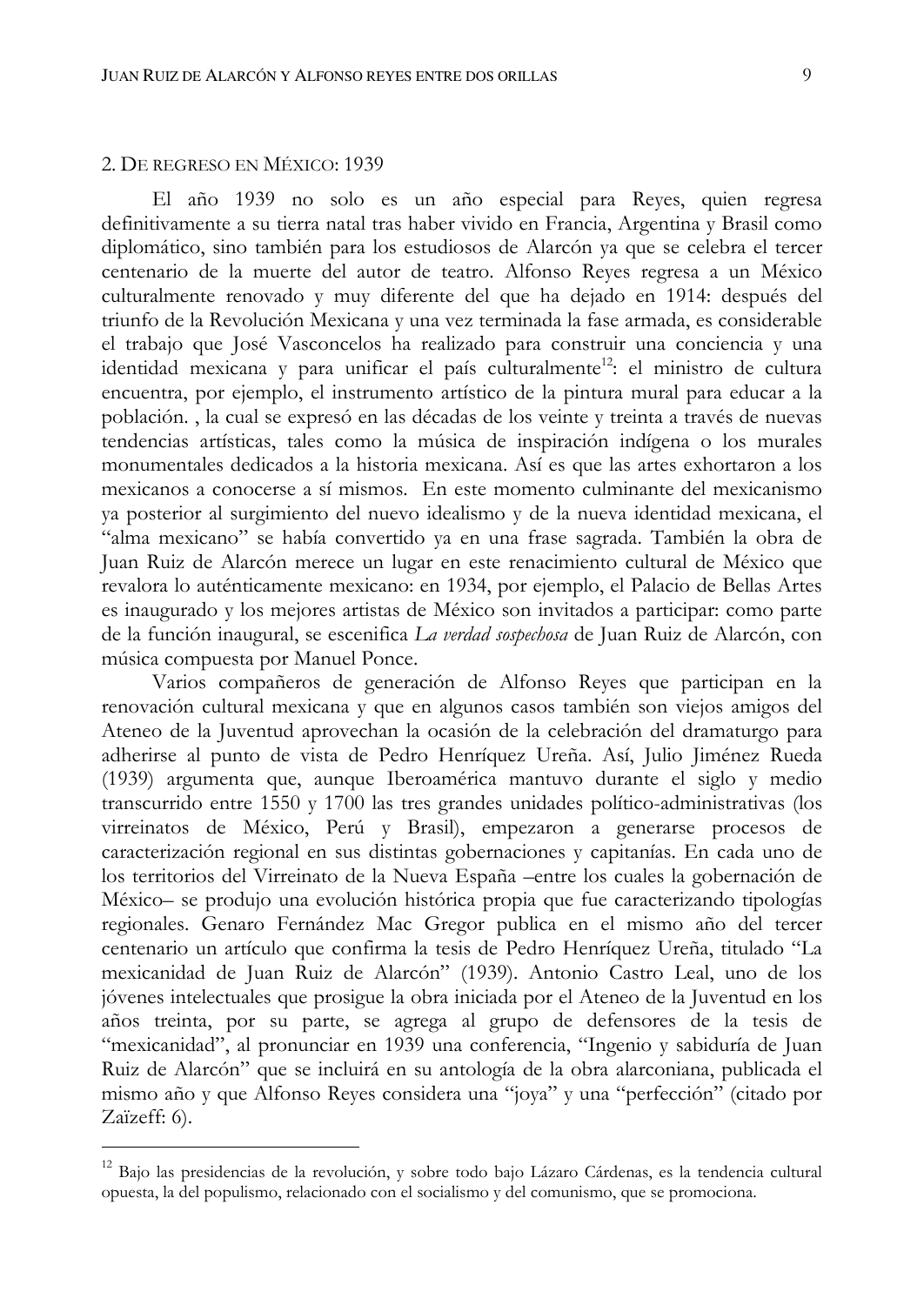## 2. DE REGRESO EN MÉXICO: 1939

El año 1939 no solo es un año especial para Reyes, quien regresa definitivamente a su tierra natal tras haber vivido en Francia, Argentina y Brasil como diplomático, sino también para los estudiosos de Alarcón ya que se celebra el tercer centenario de la muerte del autor de teatro. Alfonso Reyes regresa a un México culturalmente renovado y muy diferente del que ha dejado en 1914: después del triunfo de la Revolución Mexicana y una vez terminada la fase armada, es considerable el trabajo que José Vasconcelos ha realizado para construir una conciencia y una identidad mexicana y para unificar el país culturalmente<sup>12</sup>: el ministro de cultura encuentra, por ejemplo, el instrumento artístico de la pintura mural para educar a la población. , la cual se expresó en las décadas de los veinte y treinta a través de nuevas tendencias artísticas, tales como la música de inspiración indígena o los murales monumentales dedicados a la historia mexicana. Así es que las artes exhortaron a los mexicanos a conocerse a sí mismos. En este momento culminante del mexicanismo ya posterior al surgimiento del nuevo idealismo y de la nueva identidad mexicana, el "alma mexicano" se había convertido ya en una frase sagrada. También la obra de Juan Ruiz de Alarcón merece un lugar en este renacimiento cultural de México que revalora lo auténticamente mexicano: en 1934, por ejemplo, el Palacio de Bellas Artes es inaugurado y los mejores artistas de México son invitados a participar: como parte de la función inaugural, se escenifica La verdad sospechosa de Juan Ruiz de Alarcón, con música compuesta por Manuel Ponce.

Varios compañeros de generación de Alfonso Reyes que participan en la renovación cultural mexicana y que en algunos casos también son viejos amigos del Ateneo de la Juventud aprovechan la ocasión de la celebración del dramaturgo para adherirse al punto de vista de Pedro Henríquez Ureña. Así, Julio Jiménez Rueda (1939) argumenta que, aunque Iberoamérica mantuvo durante el siglo y medio transcurrido entre 1550 y 1700 las tres grandes unidades político-administrativas (los virreinatos de México, Perú y Brasil), empezaron a generarse procesos de caracterización regional en sus distintas gobernaciones y capitanías. En cada uno de los territorios del Virreinato de la Nueva España - entre los cuales la gobernación de México- se produjo una evolución histórica propia que fue caracterizando tipologías regionales. Genaro Fernández Mac Gregor publica en el mismo año del tercer centenario un artículo que confirma la tesis de Pedro Henríquez Ureña, titulado "La mexicanidad de Juan Ruiz de Alarcón" (1939). Antonio Castro Leal, uno de los jóvenes intelectuales que prosigue la obra iniciada por el Ateneo de la Juventud en los años treinta, por su parte, se agrega al grupo de defensores de la tesis de "mexicanidad", al pronunciar en 1939 una conferencia, "Ingenio y sabiduría de Juan Ruiz de Alarcón" que se incluirá en su antología de la obra alarconiana, publicada el mismo año y que Alfonso Reyes considera una "joya" y una "perfección" (citado por Zaïzeff: 6).

<sup>12</sup> Bajo las presidencias de la revolución, y sobre todo bajo Lázaro Cárdenas, es la tendencia cultural opuesta, la del populismo, relacionado con el socialismo y del comunismo, que se promociona.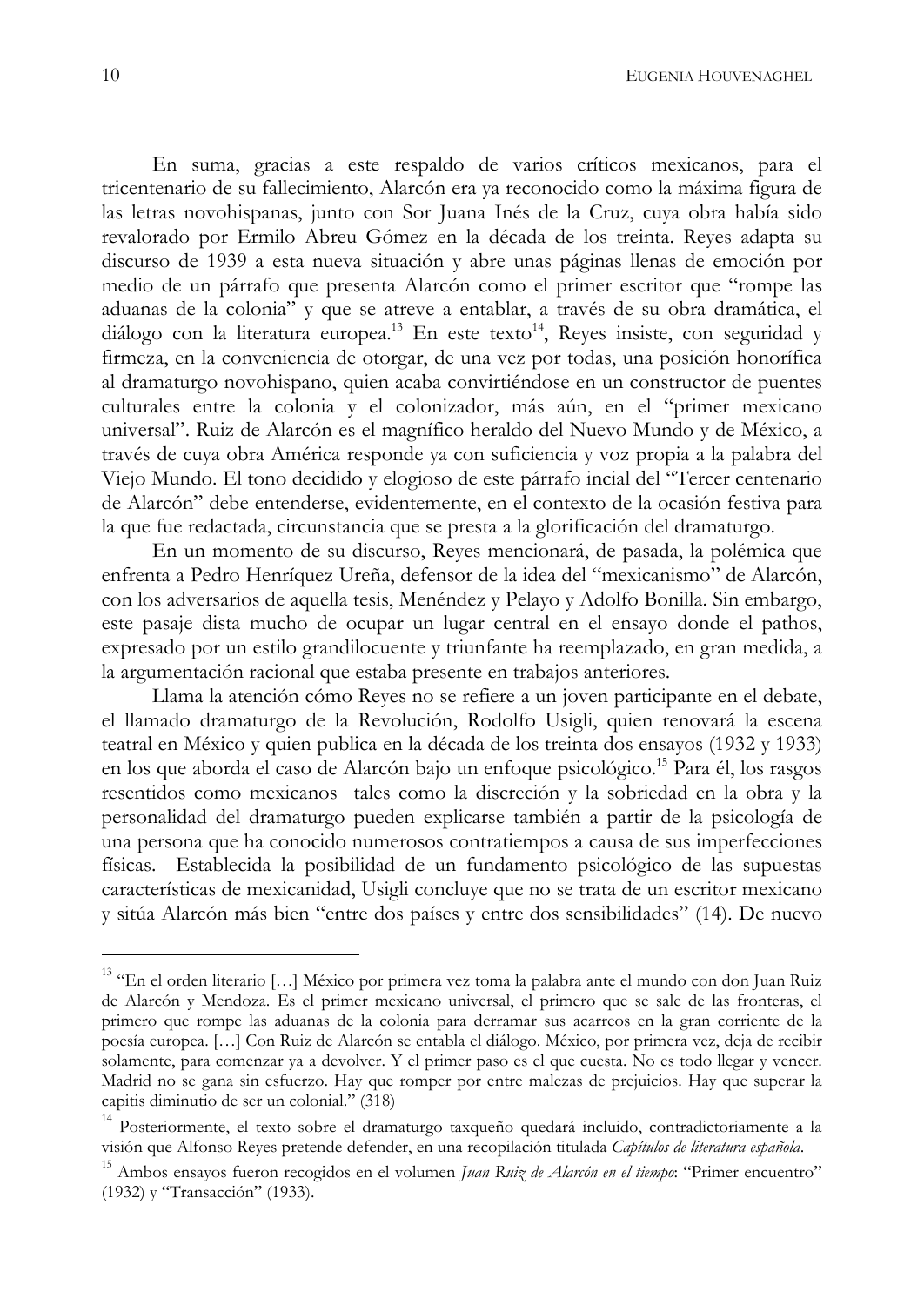En suma, gracias a este respaldo de varios críticos mexicanos, para el tricentenario de su fallecimiento, Alarcón era ya reconocido como la máxima figura de las letras novohispanas, junto con Sor Juana Inés de la Cruz, cuya obra había sido revalorado por Ermilo Abreu Gómez en la década de los treinta. Reyes adapta su discurso de 1939 a esta nueva situación y abre unas páginas llenas de emoción por medio de un párrafo que presenta Alarcón como el primer escritor que "rompe las aduanas de la colonia" y que se atreve a entablar, a través de su obra dramática, el diálogo con la literatura europea.<sup>13</sup> En este texto<sup>14</sup>, Reyes insiste, con seguridad y firmeza, en la conveniencia de otorgar, de una vez por todas, una posición honorífica al dramaturgo novohispano, quien acaba convirtiéndose en un constructor de puentes culturales entre la colonia y el colonizador, más aún, en el "primer mexicano universal". Ruiz de Alarcón es el magnífico heraldo del Nuevo Mundo y de México, a través de cuya obra América responde ya con suficiencia y voz propia a la palabra del Viejo Mundo. El tono decidido y elogioso de este párrafo incial del "Tercer centenario de Alarcón" debe entenderse, evidentemente, en el contexto de la ocasión festiva para la que fue redactada, circunstancia que se presta a la glorificación del dramaturgo.

En un momento de su discurso, Reyes mencionará, de pasada, la polémica que enfrenta a Pedro Henríquez Ureña, defensor de la idea del "mexicanismo" de Alarcón, con los adversarios de aquella tesis, Menéndez y Pelayo y Adolfo Bonilla. Sin embargo, este pasaje dista mucho de ocupar un lugar central en el ensayo donde el pathos, expresado por un estilo grandilocuente y triunfante ha reemplazado, en gran medida, a la argumentación racional que estaba presente en trabajos anteriores.

Llama la atención cómo Reyes no se refiere a un joven participante en el debate, el llamado dramaturgo de la Revolución, Rodolfo Usigli, quien renovará la escena teatral en México y quien publica en la década de los treinta dos ensayos (1932 y 1933) en los que aborda el caso de Alarcón bajo un enfoque psicológico.<sup>15</sup> Para él, los rasgos resentidos como mexicanos tales como la discreción y la sobriedad en la obra y la personalidad del dramaturgo pueden explicarse también a partir de la psicología de una persona que ha conocido numerosos contratiempos a causa de sus imperfecciones físicas. Establecida la posibilidad de un fundamento psicológico de las supuestas características de mexicanidad, Usigli concluye que no se trata de un escritor mexicano y sitúa Alarcón más bien "entre dos países y entre dos sensibilidades" (14). De nuevo

<sup>&</sup>lt;sup>13</sup> "En el orden literario [...] México por primera vez toma la palabra ante el mundo con don Juan Ruiz de Alarcón y Mendoza. Es el primer mexicano universal, el primero que se sale de las fronteras, el primero que rompe las aduanas de la colonia para derramar sus acarreos en la gran corriente de la poesía europea. [...] Con Ruiz de Alarcón se entabla el diálogo. México, por primera vez, deja de recibir solamente, para comenzar ya a devolver. Y el primer paso es el que cuesta. No es todo llegar y vencer. Madrid no se gana sin esfuerzo. Hay que romper por entre malezas de prejuicios. Hay que superar la capitis diminutio de ser un colonial." (318)

<sup>&</sup>lt;sup>14</sup> Posteriormente, el texto sobre el dramaturgo taxqueño quedará incluido, contradictoriamente a la visión que Alfonso Reyes pretende defender, en una recopilación titulada Capítulos de literatura española.

<sup>&</sup>lt;sup>15</sup> Ambos ensayos fueron recogidos en el volumen Juan Ruiz de Alarcón en el tiempo: "Primer encuentro" (1932) y "Transacción" (1933).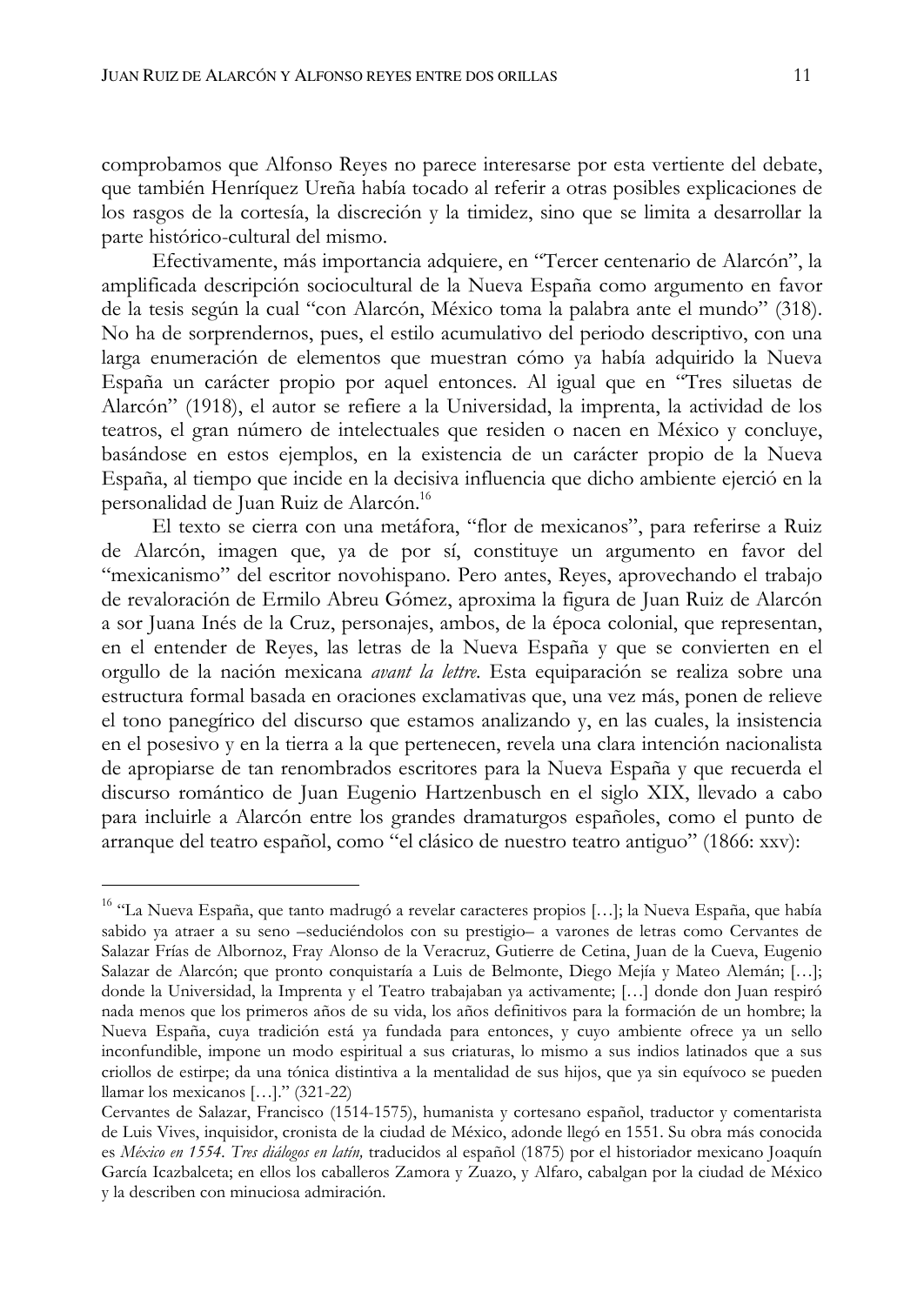comprobamos que Alfonso Reyes no parece interesarse por esta vertiente del debate, que también Henríquez Ureña había tocado al referir a otras posibles explicaciones de los rasgos de la cortesía, la discreción y la timidez, sino que se limita a desarrollar la parte histórico-cultural del mismo.

Efectivamente, más importancia adquiere, en "Tercer centenario de Alarcón", la amplificada descripción sociocultural de la Nueva España como argumento en favor de la tesis según la cual "con Alarcón, México toma la palabra ante el mundo" (318). No ha de sorprendernos, pues, el estilo acumulativo del periodo descriptivo, con una larga enumeración de elementos que muestran cómo ya había adquirido la Nueva España un carácter propio por aquel entonces. Al igual que en "Tres siluetas de Alarcón" (1918), el autor se refiere a la Universidad, la imprenta, la actividad de los teatros, el gran número de intelectuales que residen o nacen en México y concluye, basándose en estos ejemplos, en la existencia de un carácter propio de la Nueva España, al tiempo que incide en la decisiva influencia que dicho ambiente ejerció en la personalidad de Juan Ruiz de Alarcón.<sup>16</sup>

El texto se cierra con una metáfora, "flor de mexicanos", para referirse a Ruiz de Alarcón, imagen que, ya de por sí, constituye un argumento en favor del "mexicanismo" del escritor novohispano. Pero antes, Reyes, aprovechando el trabajo de revaloración de Ermilo Abreu Gómez, aproxima la figura de Juan Ruiz de Alarcón a sor Juana Inés de la Cruz, personajes, ambos, de la época colonial, que representan, en el entender de Reyes, las letras de la Nueva España y que se convierten en el orgullo de la nación mexicana *avant la lettre*. Esta equiparación se realiza sobre una estructura formal basada en oraciones exclamativas que, una vez más, ponen de relieve el tono panegírico del discurso que estamos analizando y, en las cuales, la insistencia en el posesivo y en la tierra a la que pertenecen, revela una clara intención nacionalista de apropiarse de tan renombrados escritores para la Nueva España y que recuerda el discurso romántico de Juan Eugenio Hartzenbusch en el siglo XIX, llevado a cabo para incluirle a Alarcón entre los grandes dramaturgos españoles, como el punto de arranque del teatro español, como "el clásico de nuestro teatro antiguo" (1866: xxv):

<sup>&</sup>lt;sup>16</sup> "La Nueva España, que tanto madrugó a revelar caracteres propios [...]; la Nueva España, que había sabido ya atraer a su seno -seduciéndolos con su prestigio- a varones de letras como Cervantes de Salazar Frías de Albornoz, Fray Alonso de la Veracruz, Gutierre de Cetina, Juan de la Cueva, Eugenio Salazar de Alarcón; que pronto conquistaría a Luis de Belmonte, Diego Mejía y Mateo Alemán; [...]; donde la Universidad, la Imprenta y el Teatro trabajaban ya activamente; [...] donde don Juan respiró nada menos que los primeros años de su vida, los años definitivos para la formación de un hombre; la Nueva España, cuya tradición está ya fundada para entonces, y cuyo ambiente ofrece ya un sello inconfundible, impone un modo espiritual a sus criaturas, lo mismo a sus indios latinados que a sus criollos de estirpe; da una tónica distintiva a la mentalidad de sus hijos, que ya sin equívoco se pueden llamar los mexicanos  $[...]$ . (321-22)

Cervantes de Salazar, Francisco (1514-1575), humanista y cortesano español, traductor y comentarista de Luis Vives, inquisidor, cronista de la ciudad de México, adonde llegó en 1551. Su obra más conocida es México en 1554. Tres diálogos en latín, traducidos al español (1875) por el historiador mexicano Joaquín García Icazbalceta; en ellos los caballeros Zamora y Zuazo, y Alfaro, cabalgan por la ciudad de México y la describen con minuciosa admiración.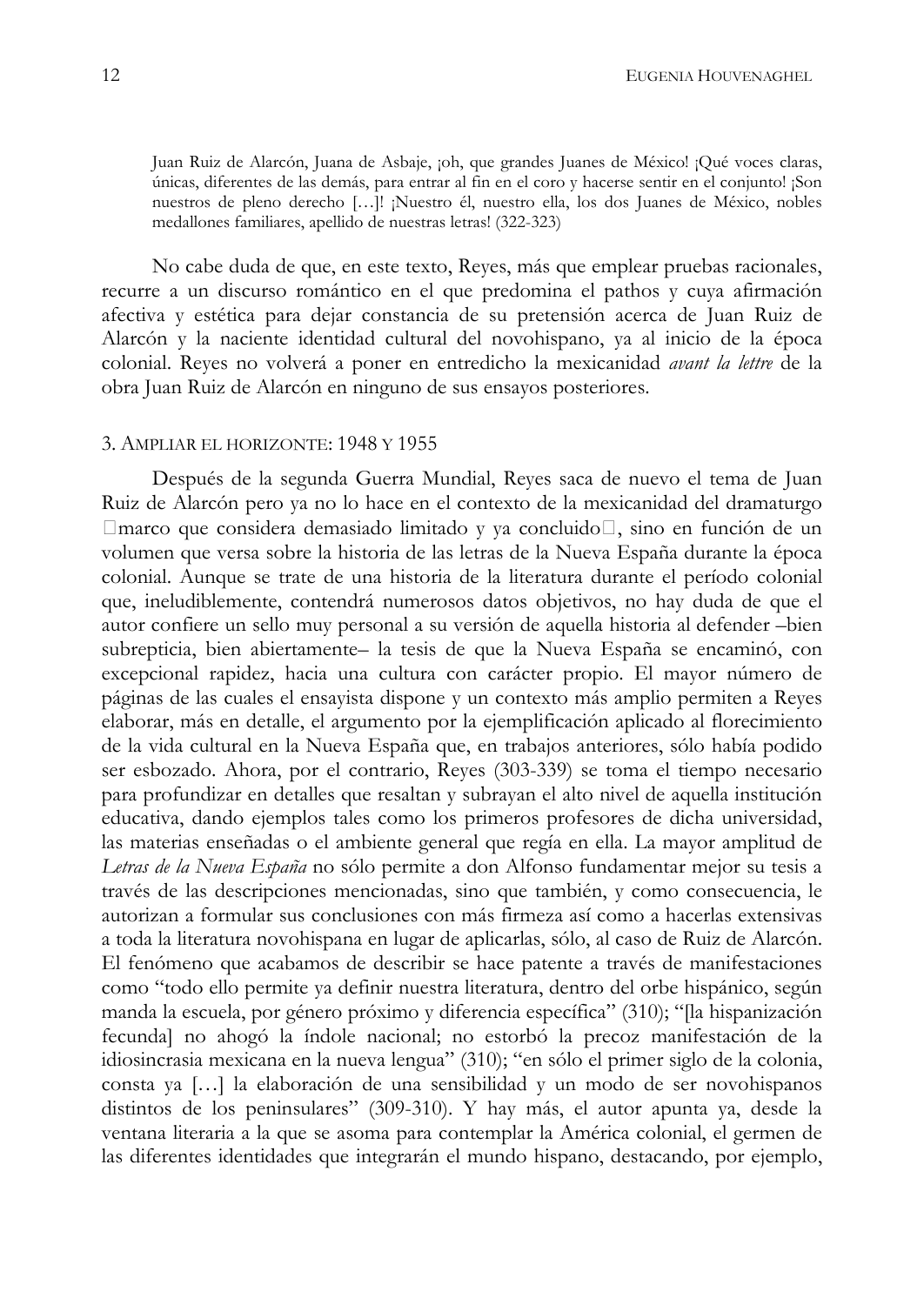Juan Ruiz de Alarcón, Juana de Asbaje, joh, que grandes Juanes de México! ¡Qué voces claras, únicas, diferentes de las demás, para entrar al fin en el coro y hacerse sentir en el conjunto! ¡Son nuestros de pleno derecho [...]! ¡Nuestro él, nuestro ella, los dos Juanes de México, nobles medallones familiares, apellido de nuestras letras! (322-323)

No cabe duda de que, en este texto, Reyes, más que emplear pruebas racionales, recurre a un discurso romántico en el que predomina el pathos y cuya afirmación afectiva y estética para dejar constancia de su pretensión acerca de Juan Ruiz de Alarcón y la naciente identidad cultural del novohispano, ya al inicio de la época colonial. Reyes no volverá a poner en entredicho la mexicanidad *avant la lettre* de la obra Juan Ruiz de Alarcón en ninguno de sus ensayos posteriores.

#### 3. AMPLIAR EL HORIZONTE: 1948 Y 1955

Después de la segunda Guerra Mundial, Reyes saca de nuevo el tema de Juan Ruiz de Alarcón pero ya no lo hace en el contexto de la mexicanidad del dramaturgo marco que considera demasiado limitado y ya concluido, sino en función de un volumen que versa sobre la historia de las letras de la Nueva España durante la época colonial. Aunque se trate de una historia de la literatura durante el período colonial que, ineludiblemente, contendrá numerosos datos objetivos, no hay duda de que el autor confiere un sello muy personal a su versión de aquella historia al defender -bien subrepticia, bien abiertamente la tesis de que la Nueva España se encaminó, con excepcional rapidez, hacia una cultura con carácter propio. El mayor número de páginas de las cuales el ensayista dispone y un contexto más amplio permiten a Reyes elaborar, más en detalle, el argumento por la ejemplificación aplicado al florecimiento de la vida cultural en la Nueva España que, en trabajos anteriores, sólo había podido ser esbozado. Ahora, por el contrario, Reyes (303-339) se toma el tiempo necesario para profundizar en detalles que resaltan y subrayan el alto nivel de aquella institución educativa, dando ejemplos tales como los primeros profesores de dicha universidad, las materias enseñadas o el ambiente general que regía en ella. La mayor amplitud de Letras de la Nueva España no sólo permite a don Alfonso fundamentar mejor su tesis a través de las descripciones mencionadas, sino que también, y como consecuencia, le autorizan a formular sus conclusiones con más firmeza así como a hacerlas extensivas a toda la literatura novohispana en lugar de aplicarlas, sólo, al caso de Ruiz de Alarcón. El fenómeno que acabamos de describir se hace patente a través de manifestaciones como "todo ello permite ya definir nuestra literatura, dentro del orbe hispánico, según manda la escuela, por género próximo y diferencia específica" (310); "[la hispanización fecundal no ahogó la índole nacional; no estorbó la precoz manifestación de la idiosincrasia mexicana en la nueva lengua" (310); "en sólo el primer siglo de la colonia, consta ya [...] la elaboración de una sensibilidad y un modo de ser novohispanos distintos de los peninsulares" (309-310). Y hay más, el autor apunta ya, desde la ventana literaria a la que se asoma para contemplar la América colonial, el germen de las diferentes identidades que integrarán el mundo hispano, destacando, por ejemplo,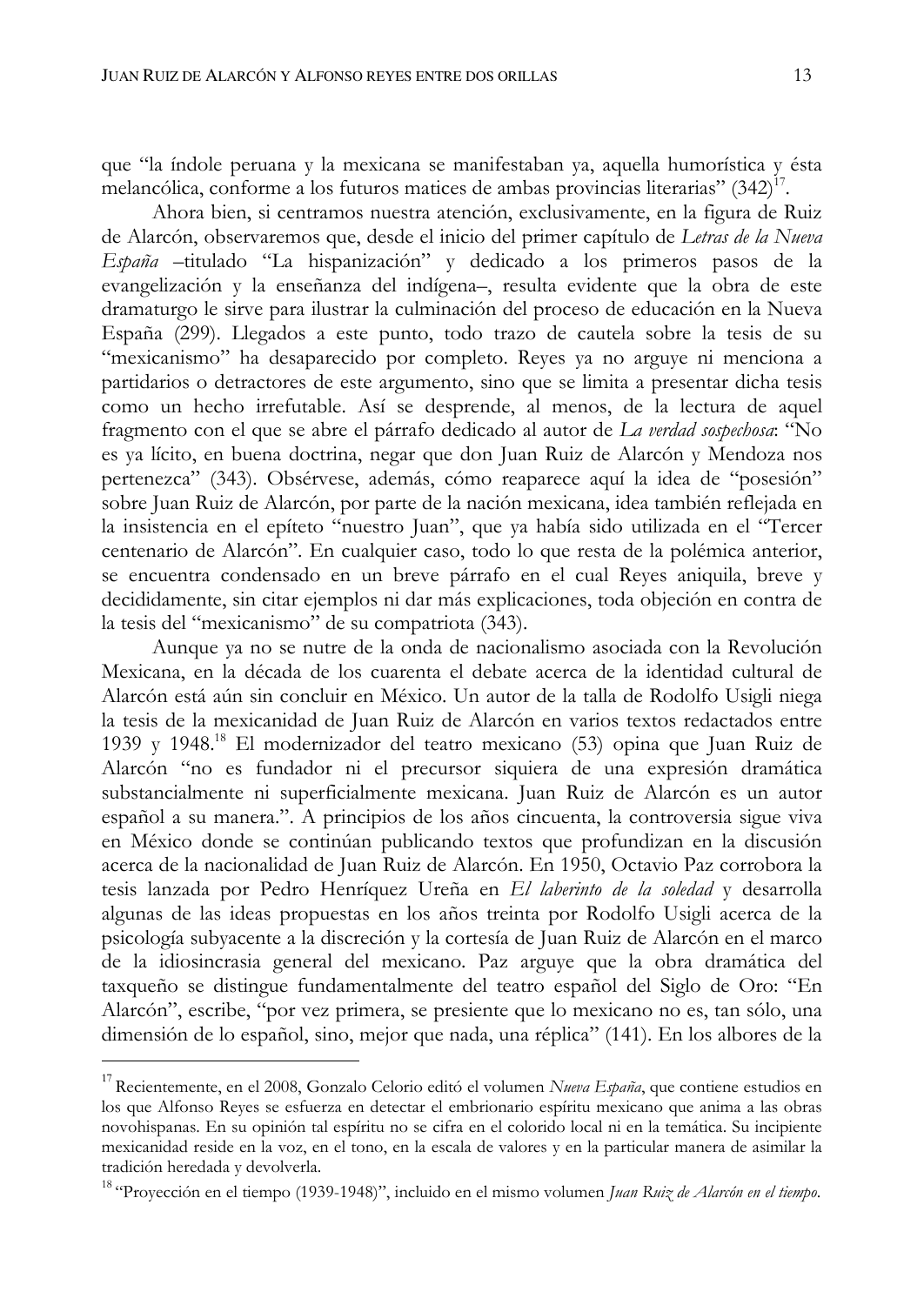que "la índole peruana y la mexicana se manifestaban ya, aquella humorística y ésta melancólica, conforme a los futuros matices de ambas provincias literarias" (342)<sup>17</sup>.

Ahora bien, si centramos nuestra atención, exclusivamente, en la figura de Ruiz de Alarcón, observaremos que, desde el inicio del primer capítulo de Letras de la Nueva España -titulado "La hispanización" y dedicado a los primeros pasos de la evangelización y la enseñanza del indígena-, resulta evidente que la obra de este dramaturgo le sirve para ilustrar la culminación del proceso de educación en la Nueva España (299). Llegados a este punto, todo trazo de cautela sobre la tesis de su "mexicanismo" ha desaparecido por completo. Reyes ya no arguye ni menciona a partidarios o detractores de este argumento, sino que se limita a presentar dicha tesis como un hecho irrefutable. Así se desprende, al menos, de la lectura de aquel fragmento con el que se abre el párrafo dedicado al autor de La verdad sospechosa: "No es ya lícito, en buena doctrina, negar que don Juan Ruiz de Alarcón y Mendoza nos pertenezca" (343). Obsérvese, además, cómo reaparece aquí la idea de "posesión" sobre Juan Ruiz de Alarcón, por parte de la nación mexicana, idea también reflejada en la insistencia en el epíteto "nuestro Juan", que ya había sido utilizada en el "Tercer centenario de Alarcón". En cualquier caso, todo lo que resta de la polémica anterior, se encuentra condensado en un breve párrafo en el cual Reyes aniquila, breve y decididamente, sin citar ejemplos ni dar más explicaciones, toda objeción en contra de la tesis del "mexicanismo" de su compatriota (343).

Aunque ya no se nutre de la onda de nacionalismo asociada con la Revolución Mexicana, en la década de los cuarenta el debate acerca de la identidad cultural de Alarcón está aún sin concluir en México. Un autor de la talla de Rodolfo Usigli niega la tesis de la mexicanidad de Juan Ruiz de Alarcón en varios textos redactados entre 1939 y 1948.<sup>18</sup> El modernizador del teatro mexicano (53) opina que Juan Ruiz de Alarcón "no es fundador ni el precursor siquiera de una expresión dramática substancialmente ni superficialmente mexicana. Juan Ruiz de Alarcón es un autor español a su manera.". A principios de los años cincuenta, la controversia sigue viva en México donde se continúan publicando textos que profundizan en la discusión acerca de la nacionalidad de Juan Ruiz de Alarcón. En 1950, Octavio Paz corrobora la tesis lanzada por Pedro Henríquez Ureña en El laberinto de la soledad y desarrolla algunas de las ideas propuestas en los años treinta por Rodolfo Usigli acerca de la psicología subyacente a la discreción y la cortesía de Juan Ruiz de Alarcón en el marco de la idiosincrasia general del mexicano. Paz arguye que la obra dramática del taxqueño se distingue fundamentalmente del teatro español del Siglo de Oro: "En Alarcón", escribe, "por vez primera, se presiente que lo mexicano no es, tan sólo, una dimensión de lo español, sino, mejor que nada, una réplica" (141). En los albores de la

<sup>&</sup>lt;sup>17</sup> Recientemente, en el 2008, Gonzalo Celorio editó el volumen Nueva España, que contiene estudios en los que Alfonso Reyes se esfuerza en detectar el embrionario espíritu mexicano que anima a las obras novohispanas. En su opinión tal espíritu no se cifra en el colorido local ni en la temática. Su incipiente mexicanidad reside en la voz, en el tono, en la escala de valores y en la particular manera de asimilar la tradición heredada y devolverla.

<sup>&</sup>lt;sup>18</sup> "Proyección en el tiempo (1939-1948)", incluido en el mismo volumen Juan Ruiz de Alarcón en el tiempo.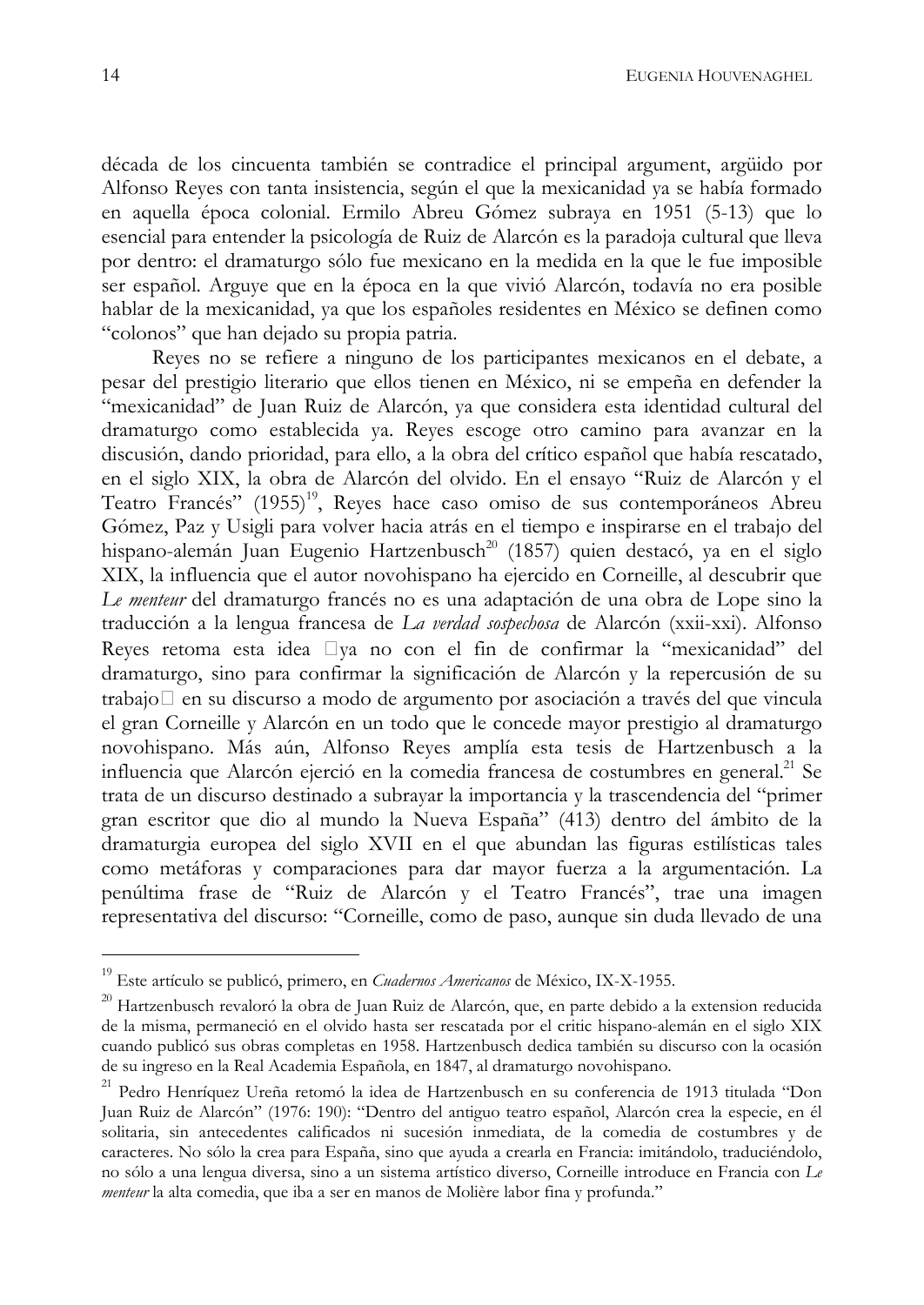década de los cincuenta también se contradice el principal argument, argüido por Alfonso Reyes con tanta insistencia, según el que la mexicanidad ya se había formado en aquella época colonial. Ermilo Abreu Gómez subraya en 1951 (5-13) que lo esencial para entender la psicología de Ruiz de Alarcón es la paradoja cultural que lleva por dentro: el dramaturgo sólo fue mexicano en la medida en la que le fue imposible ser español. Arguye que en la época en la que vivió Alarcón, todavía no era posible hablar de la mexicanidad, ya que los españoles residentes en México se definen como "colonos" que han dejado su propia patria.

Reyes no se refiere a ninguno de los participantes mexicanos en el debate, a pesar del prestigio literario que ellos tienen en México, ni se empeña en defender la "mexicanidad" de Juan Ruiz de Alarcón, ya que considera esta identidad cultural del dramaturgo como establecida ya. Reyes escoge otro camino para avanzar en la discusión, dando prioridad, para ello, a la obra del crítico español que había rescatado, en el siglo XIX, la obra de Alarcón del olvido. En el ensayo "Ruiz de Alarcón y el Teatro Francés" (1955)<sup>19</sup>, Reyes hace caso omiso de sus contemporáneos Abreu Gómez, Paz y Usigli para volver hacia atrás en el tiempo e inspirarse en el trabajo del hispano-alemán Juan Eugenio Hartzenbusch<sup>20</sup> (1857) quien destacó, ya en el siglo XIX, la influencia que el autor novohispano ha ejercido en Corneille, al descubrir que Le menteur del dramaturgo francés no es una adaptación de una obra de Lope sino la traducción a la lengua francesa de La verdad sospechosa de Alarcón (xxii-xxi). Alfonso Reyes retoma esta idea va no con el fin de confirmar la "mexicanidad" del dramaturgo, sino para confirmar la significación de Alarcón y la repercusión de su trabajo en su discurso a modo de argumento por asociación a través del que vincula el gran Corneille y Alarcón en un todo que le concede mayor prestigio al dramaturgo novohispano. Más aún, Alfonso Reyes amplía esta tesis de Hartzenbusch a la influencia que Alarcón ejerció en la comedia francesa de costumbres en general.<sup>21</sup> Se trata de un discurso destinado a subrayar la importancia y la trascendencia del "primer gran escritor que dio al mundo la Nueva España" (413) dentro del ámbito de la dramaturgia europea del siglo XVII en el que abundan las figuras estilísticas tales como metáforas y comparaciones para dar mayor fuerza a la argumentación. La penúltima frase de "Ruiz de Alarcón y el Teatro Francés", trae una imagen representativa del discurso: "Corneille, como de paso, aunque sin duda llevado de una

<sup>&</sup>lt;sup>19</sup> Este artículo se publicó, primero, en Cuadernos Americanos de México, IX-X-1955.

<sup>&</sup>lt;sup>20</sup> Hartzenbusch revaloró la obra de Juan Ruiz de Alarcón, que, en parte debido a la extension reducida de la misma, permaneció en el olvido hasta ser rescatada por el critic hispano-alemán en el siglo XIX cuando publicó sus obras completas en 1958. Hartzenbusch dedica también su discurso con la ocasión de su ingreso en la Real Academia Española, en 1847, al dramaturgo novohispano.

<sup>&</sup>lt;sup>21</sup> Pedro Henríquez Ureña retomó la idea de Hartzenbusch en su conferencia de 1913 titulada "Don Juan Ruiz de Alarcón" (1976: 190): "Dentro del antiguo teatro español, Alarcón crea la especie, en él solitaria, sin antecedentes calificados ni sucesión inmediata, de la comedia de costumbres y de caracteres. No sólo la crea para España, sino que ayuda a crearla en Francia: imitándolo, traduciéndolo, no sólo a una lengua diversa, sino a un sistema artístico diverso, Corneille introduce en Francia con Le menteur la alta comedia, que iba a ser en manos de Molière labor fina y profunda."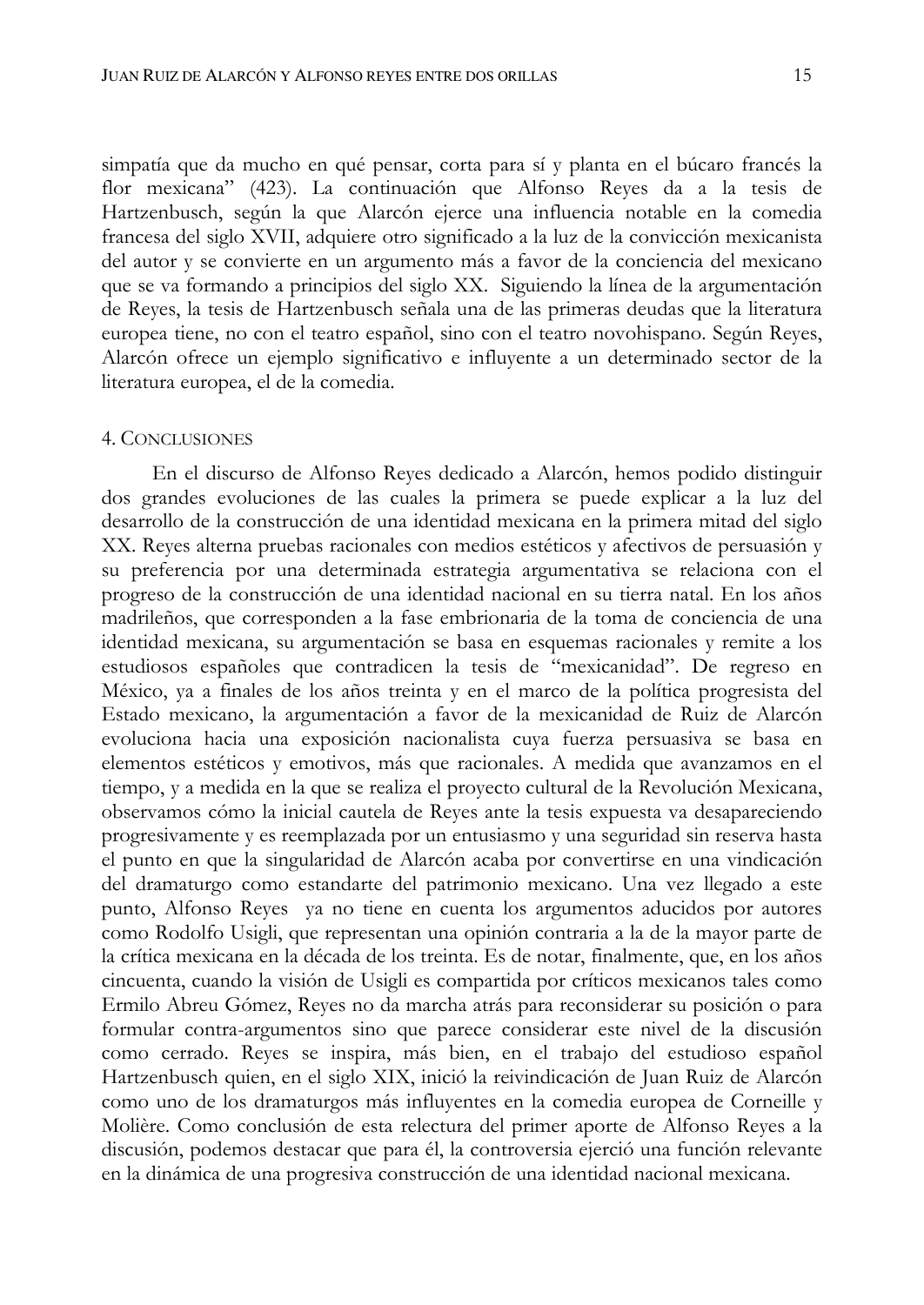simpatía que da mucho en qué pensar, corta para sí y planta en el búcaro francés la flor mexicana" (423). La continuación que Alfonso Reyes da a la tesis de Hartzenbusch, según la que Alarcón ejerce una influencia notable en la comedia francesa del siglo XVII, adquiere otro significado a la luz de la convicción mexicanista del autor y se convierte en un argumento más a favor de la conciencia del mexicano que se va formando a principios del siglo XX. Siguiendo la línea de la argumentación de Reyes, la tesis de Hartzenbusch señala una de las primeras deudas que la literatura europea tiene, no con el teatro español, sino con el teatro novohispano. Según Reyes, Alarcón ofrece un ejemplo significativo e influyente a un determinado sector de la literatura europea, el de la comedia.

## **4. CONCLUSIONES**

En el discurso de Alfonso Reyes dedicado a Alarcón, hemos podido distinguir dos grandes evoluciones de las cuales la primera se puede explicar a la luz del desarrollo de la construcción de una identidad mexicana en la primera mitad del siglo XX. Reyes alterna pruebas racionales con medios estéticos y afectivos de persuasión y su preferencia por una determinada estrategia argumentativa se relaciona con el progreso de la construcción de una identidad nacional en su tierra natal. En los años madrileños, que corresponden a la fase embrionaria de la toma de conciencia de una identidad mexicana, su argumentación se basa en esquemas racionales y remite a los estudiosos españoles que contradicen la tesis de "mexicanidad". De regreso en México, ya a finales de los años treinta y en el marco de la política progresista del Estado mexicano, la argumentación a favor de la mexicanidad de Ruiz de Alarcón evoluciona hacia una exposición nacionalista cuya fuerza persuasiva se basa en elementos estéticos y emotivos, más que racionales. A medida que avanzamos en el tiempo, y a medida en la que se realiza el proyecto cultural de la Revolución Mexicana, observamos cómo la inicial cautela de Reyes ante la tesis expuesta va desapareciendo progresivamente y es reemplazada por un entusiasmo y una seguridad sin reserva hasta el punto en que la singularidad de Alarcón acaba por convertirse en una vindicación del dramaturgo como estandarte del patrimonio mexicano. Una vez llegado a este punto, Alfonso Reyes ya no tiene en cuenta los argumentos aducidos por autores como Rodolfo Usigli, que representan una opinión contraria a la de la mayor parte de la crítica mexicana en la década de los treinta. Es de notar, finalmente, que, en los años cincuenta, cuando la visión de Usigli es compartida por críticos mexicanos tales como Ermilo Abreu Gómez, Reyes no da marcha atrás para reconsiderar su posición o para formular contra-argumentos sino que parece considerar este nivel de la discusión como cerrado. Reyes se inspira, más bien, en el trabajo del estudioso español Hartzenbusch quien, en el siglo XIX, inició la reivindicación de Juan Ruiz de Alarcón como uno de los dramaturgos más influyentes en la comedia europea de Corneille y Molière. Como conclusión de esta relectura del primer aporte de Alfonso Reyes a la discusión, podemos destacar que para él, la controversia ejerció una función relevante en la dinámica de una progresiva construcción de una identidad nacional mexicana.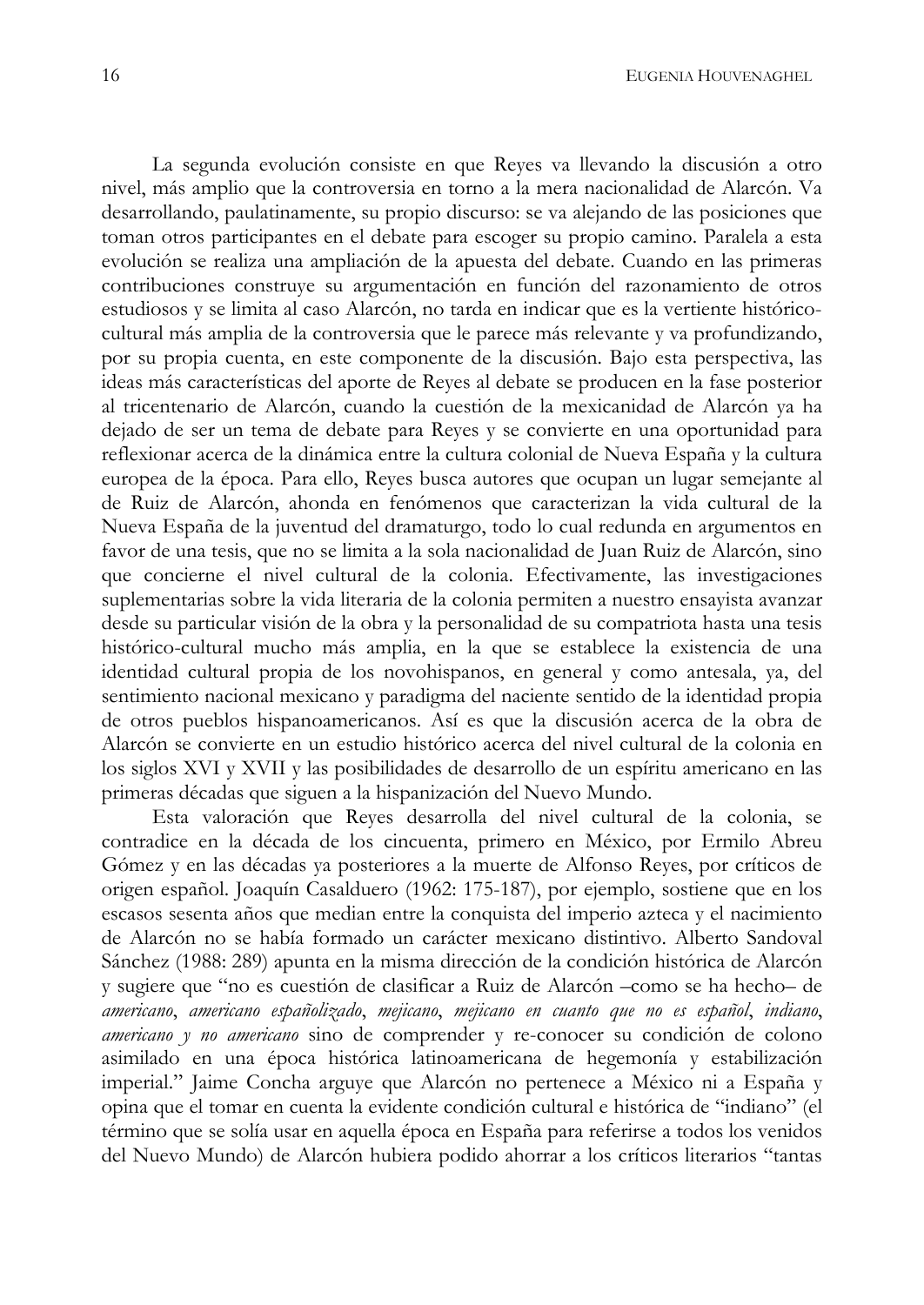La segunda evolución consiste en que Reyes va llevando la discusión a otro nivel, más amplio que la controversia en torno a la mera nacionalidad de Alarcón. Va desarrollando, paulatinamente, su propio discurso: se va alejando de las posiciones que toman otros participantes en el debate para escoger su propio camino. Paralela a esta evolución se realiza una ampliación de la apuesta del debate. Cuando en las primeras contribuciones construye su argumentación en función del razonamiento de otros estudiosos y se limita al caso Alarcón, no tarda en indicar que es la vertiente históricocultural más amplia de la controversia que le parece más relevante y va profundizando, por su propia cuenta, en este componente de la discusión. Bajo esta perspectiva, las ideas más características del aporte de Reyes al debate se producen en la fase posterior al tricentenario de Alarcón, cuando la cuestión de la mexicanidad de Alarcón ya ha dejado de ser un tema de debate para Reyes y se convierte en una oportunidad para reflexionar acerca de la dinámica entre la cultura colonial de Nueva España y la cultura europea de la época. Para ello, Reyes busca autores que ocupan un lugar semejante al de Ruiz de Alarcón, ahonda en fenómenos que caracterizan la vida cultural de la Nueva España de la juventud del dramaturgo, todo lo cual redunda en argumentos en favor de una tesis, que no se limita a la sola nacionalidad de Juan Ruiz de Alarcón, sino que concierne el nivel cultural de la colonia. Efectivamente, las investigaciones suplementarias sobre la vida literaria de la colonia permiten a nuestro ensayista avanzar desde su particular visión de la obra y la personalidad de su compatriota hasta una tesis histórico-cultural mucho más amplia, en la que se establece la existencia de una identidad cultural propia de los novohispanos, en general y como antesala, ya, del sentimiento nacional mexicano y paradigma del naciente sentido de la identidad propia de otros pueblos hispanoamericanos. Así es que la discusión acerca de la obra de Alarcón se convierte en un estudio histórico acerca del nivel cultural de la colonia en los siglos XVI y XVII y las posibilidades de desarrollo de un espíritu americano en las primeras décadas que siguen a la hispanización del Nuevo Mundo.

Esta valoración que Reyes desarrolla del nivel cultural de la colonia, se contradice en la década de los cincuenta, primero en México, por Ermilo Abreu Gómez y en las décadas ya posteriores a la muerte de Alfonso Reyes, por críticos de origen español. Joaquín Casalduero (1962: 175-187), por ejemplo, sostiene que en los escasos sesenta años que median entre la conquista del imperio azteca y el nacimiento de Alarcón no se había formado un carácter mexicano distintivo. Alberto Sandoval Sánchez (1988: 289) apunta en la misma dirección de la condición histórica de Alarcón y sugiere que "no es cuestión de clasificar a Ruiz de Alarcón - como se ha hecho- de americano, americano españolizado, mejicano, mejicano en cuanto que no es español, indiano, americano y no americano sino de comprender y re-conocer su condición de colono asimilado en una época histórica latinoamericana de hegemonía y estabilización imperial." Jaime Concha arguye que Alarcón no pertenece a México ni a España y opina que el tomar en cuenta la evidente condición cultural e histórica de "indiano" (el término que se solía usar en aquella época en España para referirse a todos los venidos del Nuevo Mundo) de Alarcón hubiera podido ahorrar a los críticos literarios "tantas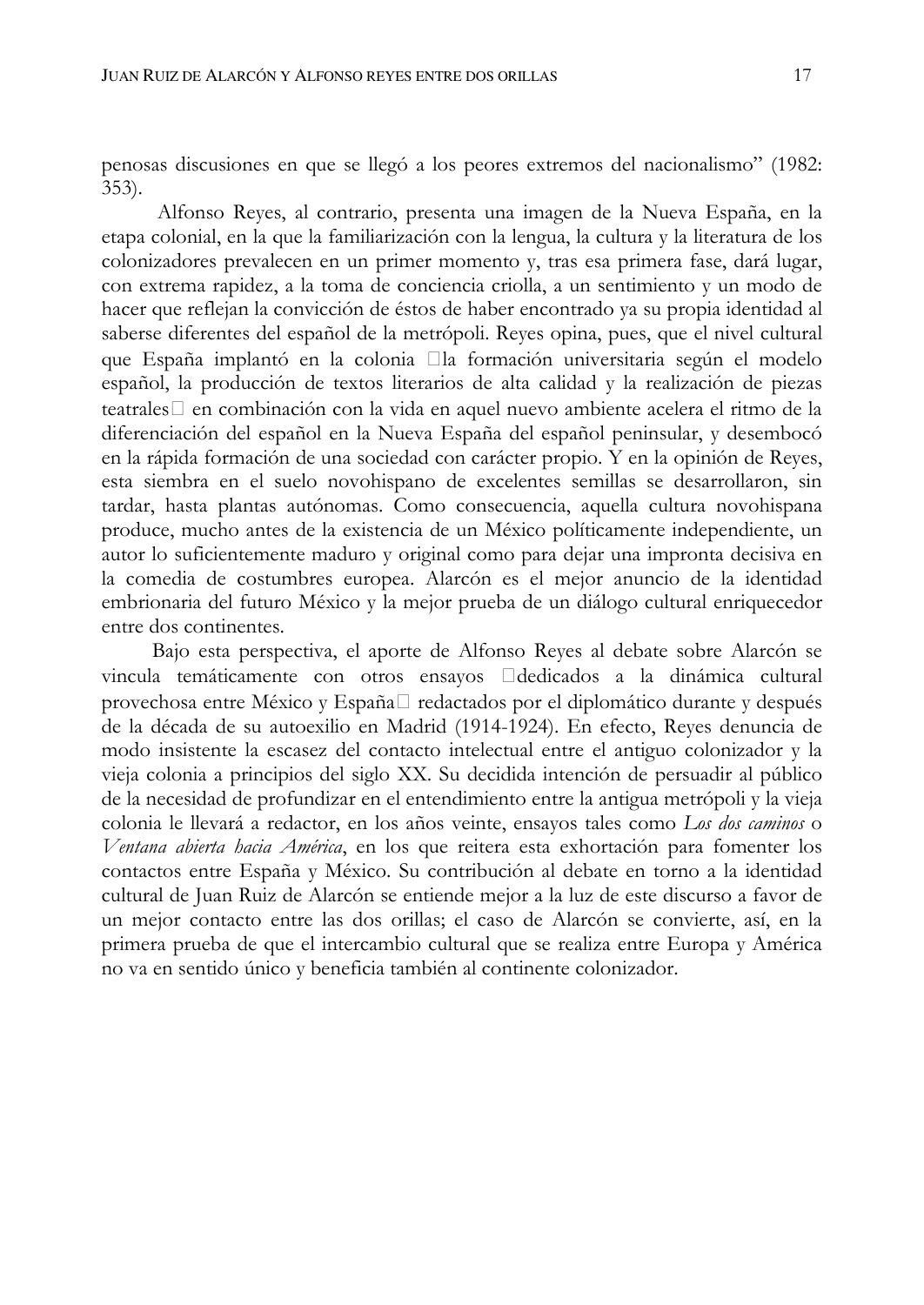penosas discusiones en que se llegó a los peores extremos del nacionalismo" (1982:  $353$ ).

Alfonso Reyes, al contrario, presenta una imagen de la Nueva España, en la etapa colonial, en la que la familiarización con la lengua, la cultura y la literatura de los colonizadores prevalecen en un primer momento y, tras esa primera fase, dará lugar, con extrema rapidez, a la toma de conciencia criolla, a un sentimiento y un modo de hacer que reflejan la convicción de éstos de haber encontrado ya su propia identidad al saberse diferentes del español de la metrópoli. Reyes opina, pues, que el nivel cultural que España implantó en la colonia la formación universitaria según el modelo español, la producción de textos literarios de alta calidad y la realización de piezas teatrales en combinación con la vida en aquel nuevo ambiente acelera el ritmo de la diferenciación del español en la Nueva España del español peninsular, y desembocó en la rápida formación de una sociedad con carácter propio. Y en la opinión de Reyes, esta siembra en el suelo novohispano de excelentes semillas se desarrollaron, sin tardar, hasta plantas autónomas. Como consecuencia, aquella cultura novohispana produce, mucho antes de la existencia de un México políticamente independiente, un autor lo suficientemente maduro y original como para dejar una impronta decisiva en la comedia de costumbres europea. Alarcón es el mejor anuncio de la identidad embrionaria del futuro México y la mejor prueba de un diálogo cultural enriquecedor entre dos continentes.

Bajo esta perspectiva, el aporte de Alfonso Reyes al debate sobre Alarcón se vincula temáticamente con otros ensayos dedicados a la dinámica cultural provechosa entre México y España redactados por el diplomático durante y después de la década de su autoexilio en Madrid (1914-1924). En efecto, Reyes denuncia de modo insistente la escasez del contacto intelectual entre el antiguo colonizador y la vieja colonia a principios del siglo XX. Su decidida intención de persuadir al público de la necesidad de profundizar en el entendimiento entre la antigua metrópoli y la vieja colonia le llevará a redactor, en los años veinte, ensayos tales como Los dos caminos o Ventana abierta hacia América, en los que reitera esta exhortación para fomenter los contactos entre España y México. Su contribución al debate en torno a la identidad cultural de Juan Ruiz de Alarcón se entiende mejor a la luz de este discurso a favor de un mejor contacto entre las dos orillas; el caso de Alarcón se convierte, así, en la primera prueba de que el intercambio cultural que se realiza entre Europa y América no va en sentido único y beneficia también al continente colonizador.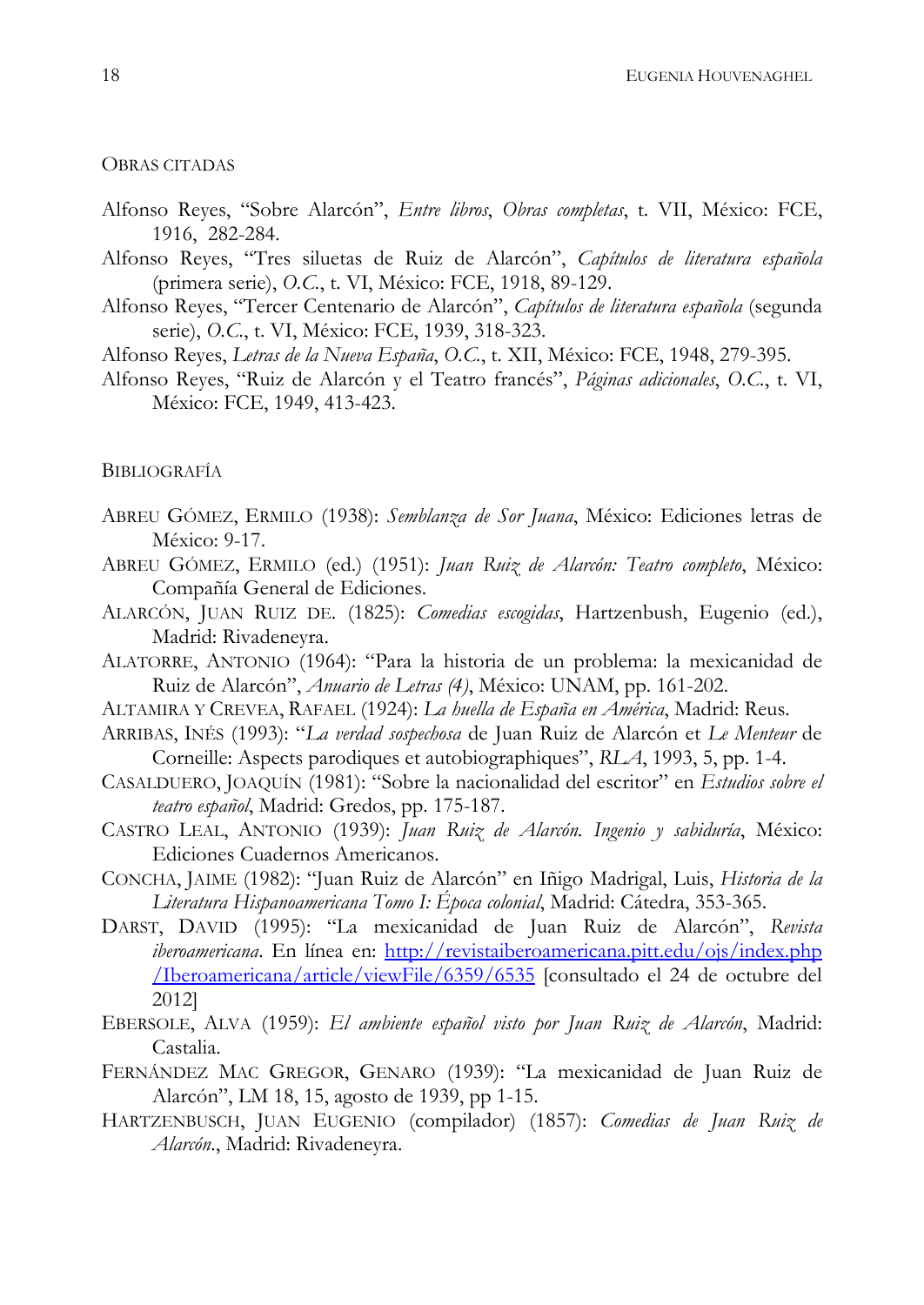## OBRAS CITADAS

- Alfonso Reyes, "Sobre Alarcón", Entre libros, Obras completas, t. VII, México: FCE, 1916, 282-284.
- Alfonso Reyes, "Tres siluetas de Ruiz de Alarcón", Capítulos de literatura española (primera serie), O.C., t. VI, México: FCE, 1918, 89-129.
- Alfonso Reyes, "Tercer Centenario de Alarcón", Capítulos de literatura española (segunda serie), O.C., t. VI, México: FCE, 1939, 318-323.
- Alfonso Reyes, Letras de la Nueva España, O.C., t. XII, México: FCE, 1948, 279-395.
- Alfonso Reyes, "Ruiz de Alarcón y el Teatro francés", Páginas adicionales, O.C., t. VI, México: FCE, 1949, 413-423.

## **BIBLIOGRAFÍA**

- ABREU GÓMEZ, ERMILO (1938): Semblanza de Sor Juana, México: Ediciones letras de México: 9-17.
- ABREU GÓMEZ, ERMILO (ed.) (1951): Juan Ruiz de Alarcón: Teatro completo, México: Compañía General de Ediciones.
- ALARCÓN, JUAN RUIZ DE. (1825): Comedias escogidas, Hartzenbush, Eugenio (ed.), Madrid: Rivadeneyra.
- ALATORRE, ANTONIO (1964): "Para la historia de un problema: la mexicanidad de Ruiz de Alarcón", Anuario de Letras (4), México: UNAM, pp. 161-202.
- ALTAMIRA Y CREVEA, RAFAEL (1924): La huella de España en América, Madrid: Reus.
- ARRIBAS, INÉS (1993): "La verdad sospechosa de Juan Ruiz de Alarcón et Le Menteur de Corneille: Aspects parodiques et autobiographiques", RLA, 1993, 5, pp. 1-4.
- CASALDUERO, JOAQUÍN (1981): "Sobre la nacionalidad del escritor" en Estudios sobre el teatro español, Madrid: Gredos, pp. 175-187.
- CASTRO LEAL, ANTONIO (1939): Juan Ruiz de Alarcón. Ingenio y sabiduría, México: Ediciones Cuadernos Americanos.
- CONCHA, JAIME (1982): "Juan Ruiz de Alarcón" en Iñigo Madrigal, Luis, Historia de la Literatura Hispanoamericana Tomo I: Época colonial, Madrid: Cátedra, 353-365.
- DARST, DAVID (1995): "La mexicanidad de Juan Ruiz de Alarcón", Revista iberoamericana. En línea en: http://revistaiberoamericana.pitt.edu/ojs/index.php /Iberoamericana/article/viewFile/6359/6535 [consultado el 24 de octubre del 2012]
- EBERSOLE, ALVA (1959): El ambiente español visto por Juan Ruiz de Alarcón, Madrid: Castalia.
- FERNÁNDEZ MAC GREGOR, GENARO (1939): "La mexicanidad de Juan Ruiz de Alarcón", LM 18, 15, agosto de 1939, pp 1-15.
- HARTZENBUSCH, JUAN EUGENIO (compilador) (1857): Comedias de Juan Ruiz de Alarcón., Madrid: Rivadeneyra.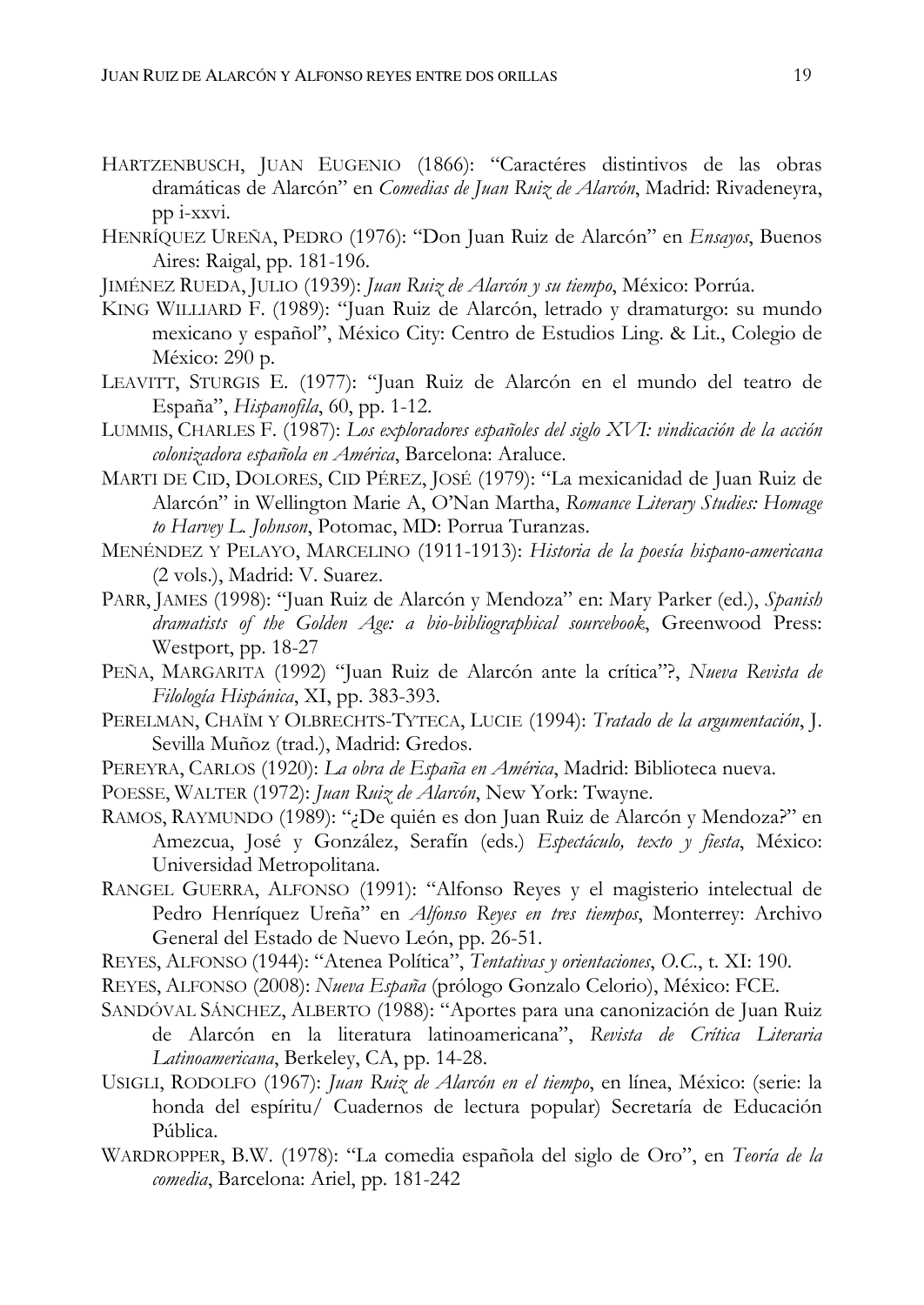- HARTZENBUSCH, JUAN EUGENIO (1866): "Caractéres distintivos de las obras dramáticas de Alarcón" en Comedias de Juan Ruiz de Alarcón, Madrid: Rivadeneyra, pp i-xxvi.
- HENRÍQUEZ UREÑA, PEDRO (1976): "Don Juan Ruiz de Alarcón" en Ensayos, Buenos Aires: Raigal, pp. 181-196.
- JIMÉNEZ RUEDA, JULIO (1939): Juan Ruiz de Alarcón y su tiempo, México: Porrúa.
- KING WILLIARD F. (1989): "Juan Ruiz de Alarcón, letrado y dramaturgo: su mundo mexicano y español", México City: Centro de Estudios Ling. & Lit., Colegio de México: 290 p.
- LEAVITT, STURGIS E. (1977): "Juan Ruiz de Alarcón en el mundo del teatro de España", *Hispanofila*, 60, pp. 1-12.
- LUMMIS, CHARLES F. (1987): Los exploradores españoles del siglo XVI: vindicación de la acción colonizadora española en América, Barcelona: Araluce.
- MARTI DE CID, DOLORES, CID PÉREZ, JOSÉ (1979): "La mexicanidad de Juan Ruiz de Alarcón" in Wellington Marie A, O'Nan Martha, Romance Literary Studies: Homage to Harvey L. Johnson, Potomac, MD: Porrua Turanzas.
- MENÉNDEZ Y PELAYO, MARCELINO (1911-1913): Historia de la poesía hispano-americana (2 vols.), Madrid: V. Suarez.
- PARR, JAMES (1998): "Juan Ruiz de Alarcón y Mendoza" en: Mary Parker (ed.), Spanish dramatists of the Golden Age: a bio-bibliographical sourcebook, Greenwood Press: Westport, pp. 18-27
- PEÑA, MARGARITA (1992) "Juan Ruiz de Alarcón ante la crítica"?, Nueva Revista de Filología Hispánica, XI, pp. 383-393.
- PERELMAN, CHAÏM Y OLBRECHTS-TYTECA, LUCIE (1994): Tratado de la argumentación, J. Sevilla Muñoz (trad.), Madrid: Gredos.
- PEREYRA, CARLOS (1920): La obra de España en América, Madrid: Biblioteca nueva.
- POESSE, WALTER (1972): Juan Ruiz de Alarcón, New York: Twayne.
- RAMOS, RAYMUNDO (1989): "¿De quién es don Juan Ruiz de Alarcón y Mendoza?" en Amezcua, José y González, Serafín (eds.) Espectáculo, texto y fiesta, México: Universidad Metropolitana.
- RANGEL GUERRA, ALFONSO (1991): "Alfonso Reyes y el magisterio intelectual de Pedro Henríquez Ureña" en Alfonso Reyes en tres tiempos, Monterrey: Archivo General del Estado de Nuevo León, pp. 26-51.
- REYES, ALFONSO (1944): "Atenea Política", Tentativas y orientaciones, O.C., t. XI: 190.
- REYES, ALFONSO (2008): Nueva España (prólogo Gonzalo Celorio), México: FCE.
- SANDÓVAL SÁNCHEZ, ALBERTO (1988): "Aportes para una canonización de Juan Ruiz de Alarcón en la literatura latinoamericana", Revista de Crítica Literaria Latinoamericana, Berkeley, CA, pp. 14-28.
- USIGLI, RODOLFO (1967): Juan Ruiz de Alarcón en el tiempo, en línea, México: (serie: la honda del espíritu/ Cuadernos de lectura popular) Secretaría de Educación Pública.
- WARDROPPER, B.W. (1978): "La comedia española del siglo de Oro", en Teoría de la comedia, Barcelona: Ariel, pp. 181-242